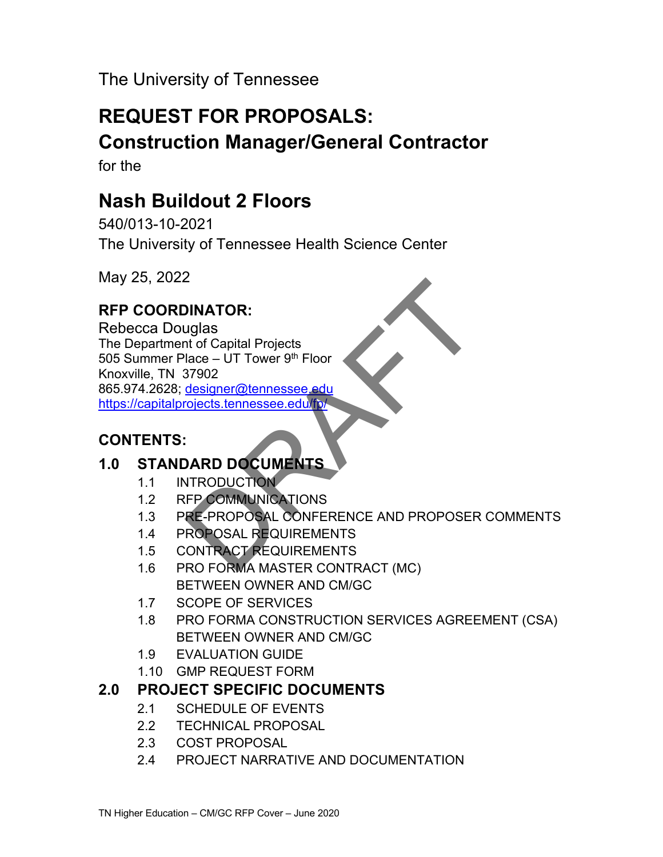The University of Tennessee

# **REQUEST FOR PROPOSALS: Construction Manager/General Contractor**

for the

# **Nash Buildout 2 Floors**

540/013-10-2021 The University of Tennessee Health Science Center

May 25, 2022

## **RFP COORDINATOR:**

Rebecca Douglas The Department of Capital Projects 505 Summer Place – UT Tower  $9<sup>th</sup>$  Floor Knoxville, TN 37902 865.974.2628; designer@tennessee.edu https://capitalprojects.tennessee.edu/fp/

## **CONTENTS:**

## **1.0 STANDARD DOCUMENTS**

- 1.1 INTRODUCTION
- 1.2 RFP COMMUNICATIONS
- 1.3 PRE-PROPOSAL CONFERENCE AND PROPOSER COMMENTS
- 1.4 PROPOSAL REQUIREMENTS
- 1.5 CONTRACT REQUIREMENTS
- 1.6 PRO FORMA MASTER CONTRACT (MC) BETWEEN OWNER AND CM/GC
- 1.7 SCOPE OF SERVICES
- 1.8 PRO FORMA CONSTRUCTION SERVICES AGREEMENT (CSA) BETWEEN OWNER AND CM/GC
- 1.9 EVALUATION GUIDE
- 1.10 GMP REQUEST FORM

## **2.0 PROJECT SPECIFIC DOCUMENTS**

- 2.1 SCHEDULE OF EVENTS
- 2.2 TECHNICAL PROPOSAL
- 2.3 COST PROPOSAL
- 2.4 PROJECT NARRATIVE AND DOCUMENTATION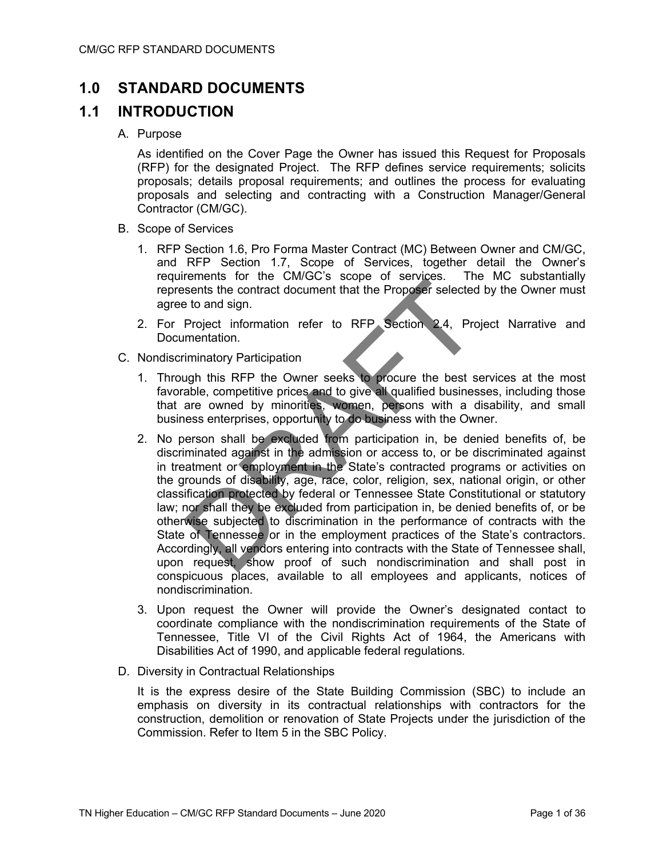## **1.0 STANDARD DOCUMENTS**

## **1.1 INTRODUCTION**

### A. Purpose

As identified on the Cover Page the Owner has issued this Request for Proposals (RFP) for the designated Project. The RFP defines service requirements; solicits proposals; details proposal requirements; and outlines the process for evaluating proposals and selecting and contracting with a Construction Manager/General Contractor (CM/GC).

- B. Scope of Services
	- 1. RFP Section 1.6, Pro Forma Master Contract (MC) Between Owner and CM/GC, and RFP Section 1.7, Scope of Services, together detail the Owner's requirements for the CM/GC's scope of services. The MC substantially represents the contract document that the Proposer selected by the Owner must agree to and sign.
	- 2. For Project information refer to RFP Section 2.4, Project Narrative and Documentation.
- C. Nondiscriminatory Participation
	- 1. Through this RFP the Owner seeks to procure the best services at the most favorable, competitive prices and to give all qualified businesses, including those that are owned by minorities, women, persons with a disability, and small business enterprises, opportunity to do business with the Owner.
	- 2. No person shall be excluded from participation in, be denied benefits of, be discriminated against in the admission or access to, or be discriminated against in treatment or employment in the State's contracted programs or activities on the grounds of disability, age, race, color, religion, sex, national origin, or other classification protected by federal or Tennessee State Constitutional or statutory law; nor shall they be excluded from participation in, be denied benefits of, or be otherwise subjected to discrimination in the performance of contracts with the State of Tennessee or in the employment practices of the State's contractors. Accordingly, all vendors entering into contracts with the State of Tennessee shall, upon request, show proof of such nondiscrimination and shall post in conspicuous places, available to all employees and applicants, notices of nondiscrimination.
	- 3. Upon request the Owner will provide the Owner's designated contact to coordinate compliance with the nondiscrimination requirements of the State of Tennessee, Title VI of the Civil Rights Act of 1964, the Americans with Disabilities Act of 1990, and applicable federal regulations*.*
- D. Diversity in Contractual Relationships

It is the express desire of the State Building Commission (SBC) to include an emphasis on diversity in its contractual relationships with contractors for the construction, demolition or renovation of State Projects under the jurisdiction of the Commission. Refer to Item 5 in the SBC Policy.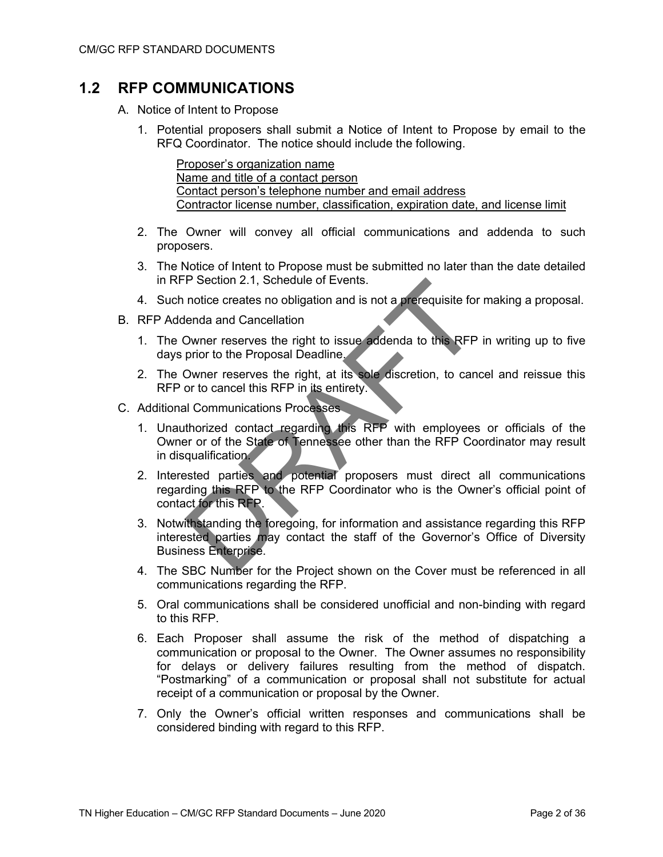## **1.2 RFP COMMUNICATIONS**

- A. Notice of Intent to Propose
	- 1. Potential proposers shall submit a Notice of Intent to Propose by email to the RFQ Coordinator. The notice should include the following.

Proposer's organization name Name and title of a contact person Contact person's telephone number and email address Contractor license number, classification, expiration date, and license limit

- 2. The Owner will convey all official communications and addenda to such proposers.
- 3. The Notice of Intent to Propose must be submitted no later than the date detailed in RFP Section 2.1, Schedule of Events.
- 4. Such notice creates no obligation and is not a prerequisite for making a proposal.
- B. RFP Addenda and Cancellation
	- 1. The Owner reserves the right to issue addenda to this RFP in writing up to five days prior to the Proposal Deadline.
	- 2. The Owner reserves the right, at its sole discretion, to cancel and reissue this RFP or to cancel this RFP in its entirety.
- C. Additional Communications Processes
	- 1. Unauthorized contact regarding this RFP with employees or officials of the Owner or of the State of Tennessee other than the RFP Coordinator may result in disqualification.
	- 2. Interested parties and potential proposers must direct all communications regarding this RFP to the RFP Coordinator who is the Owner's official point of contact for this RFP.
	- 3. Notwithstanding the foregoing, for information and assistance regarding this RFP interested parties may contact the staff of the Governor's Office of Diversity Business Enterprise.
	- 4. The SBC Number for the Project shown on the Cover must be referenced in all communications regarding the RFP.
	- 5. Oral communications shall be considered unofficial and non-binding with regard to this RFP.
	- 6. Each Proposer shall assume the risk of the method of dispatching a communication or proposal to the Owner. The Owner assumes no responsibility for delays or delivery failures resulting from the method of dispatch. "Postmarking" of a communication or proposal shall not substitute for actual receipt of a communication or proposal by the Owner.
	- 7. Only the Owner's official written responses and communications shall be considered binding with regard to this RFP.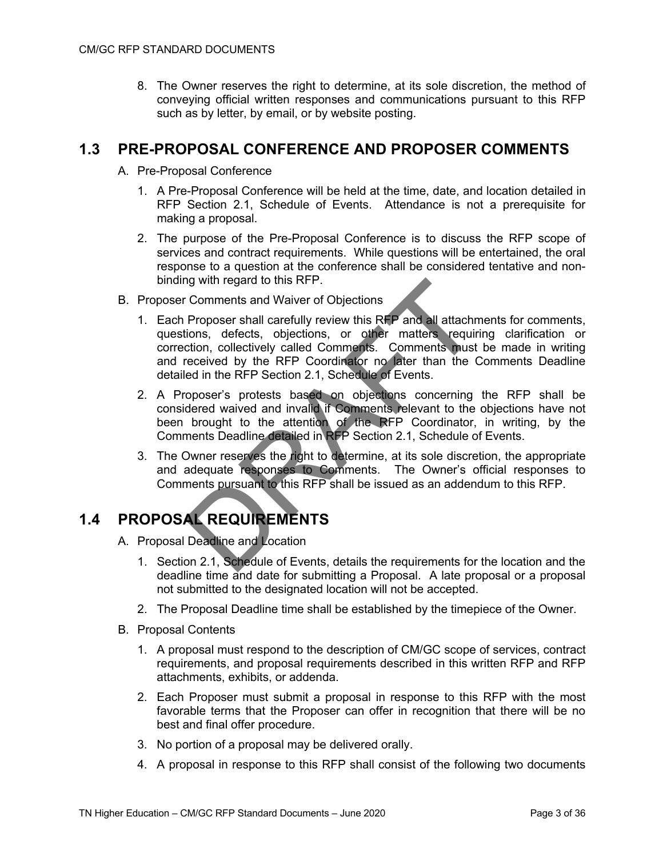8. The Owner reserves the right to determine, at its sole discretion, the method of conveying official written responses and communications pursuant to this RFP such as by letter, by email, or by website posting.

### **1.3 PRE-PROPOSAL CONFERENCE AND PROPOSER COMMENTS**

- A. Pre-Proposal Conference
	- 1. A Pre-Proposal Conference will be held at the time, date, and location detailed in RFP Section 2.1, Schedule of Events. Attendance is not a prerequisite for making a proposal.
	- 2. The purpose of the Pre-Proposal Conference is to discuss the RFP scope of services and contract requirements. While questions will be entertained, the oral response to a question at the conference shall be considered tentative and nonbinding with regard to this RFP.
- B. Proposer Comments and Waiver of Objections
	- 1. Each Proposer shall carefully review this RFP and all attachments for comments, questions, defects, objections, or other matters requiring clarification or correction, collectively called Comments. Comments must be made in writing and received by the RFP Coordinator no later than the Comments Deadline detailed in the RFP Section 2.1, Schedule of Events.
	- 2. A Proposer's protests based on objections concerning the RFP shall be considered waived and invalid if Comments relevant to the objections have not been brought to the attention of the RFP Coordinator, in writing, by the Comments Deadline detailed in RFP Section 2.1, Schedule of Events.
	- 3. The Owner reserves the right to determine, at its sole discretion, the appropriate and adequate responses to Comments. The Owner's official responses to Comments pursuant to this RFP shall be issued as an addendum to this RFP.

## **1.4 PROPOSAL REQUIREMENTS**

- A. Proposal Deadline and Location
	- 1. Section 2.1, Schedule of Events, details the requirements for the location and the deadline time and date for submitting a Proposal. A late proposal or a proposal not submitted to the designated location will not be accepted.
	- 2. The Proposal Deadline time shall be established by the timepiece of the Owner.
- B. Proposal Contents
	- 1. A proposal must respond to the description of CM/GC scope of services, contract requirements, and proposal requirements described in this written RFP and RFP attachments, exhibits, or addenda.
	- 2. Each Proposer must submit a proposal in response to this RFP with the most favorable terms that the Proposer can offer in recognition that there will be no best and final offer procedure.
	- 3. No portion of a proposal may be delivered orally.
	- 4. A proposal in response to this RFP shall consist of the following two documents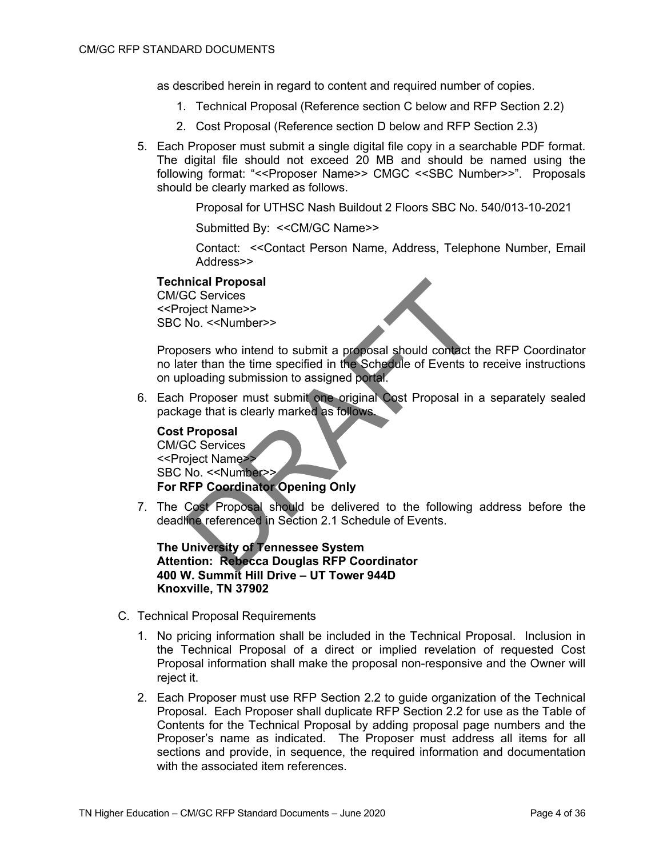as described herein in regard to content and required number of copies.

- 1. Technical Proposal (Reference section C below and RFP Section 2.2)
- 2. Cost Proposal (Reference section D below and RFP Section 2.3)
- 5. Each Proposer must submit a single digital file copy in a searchable PDF format. The digital file should not exceed 20 MB and should be named using the following format: "<<Proposer Name>> CMGC <<SBC Number>>". Proposals should be clearly marked as follows.

Proposal for UTHSC Nash Buildout 2 Floors SBC No. 540/013-10-2021

Submitted By: << CM/GC Name>>

Contact: <<Contact Person Name, Address, Telephone Number, Email Address>>

### **Technical Proposal**

CM/GC Services <<Project Name>> SBC No. <<Number>>

Proposers who intend to submit a proposal should contact the RFP Coordinator no later than the time specified in the Schedule of Events to receive instructions on uploading submission to assigned portal.

6. Each Proposer must submit one original Cost Proposal in a separately sealed package that is clearly marked as follows.

**Cost Proposal** CM/GC Services <<Project Name>> SBC No. <<Number>> **For RFP Coordinator Opening Only**

7. The Cost Proposal should be delivered to the following address before the deadline referenced in Section 2.1 Schedule of Events.

**The University of Tennessee System Attention: Rebecca Douglas RFP Coordinator 400 W. Summit Hill Drive – UT Tower 944D Knoxville, TN 37902**

- C. Technical Proposal Requirements
	- 1. No pricing information shall be included in the Technical Proposal. Inclusion in the Technical Proposal of a direct or implied revelation of requested Cost Proposal information shall make the proposal non-responsive and the Owner will reject it.
	- 2. Each Proposer must use RFP Section 2.2 to guide organization of the Technical Proposal. Each Proposer shall duplicate RFP Section 2.2 for use as the Table of Contents for the Technical Proposal by adding proposal page numbers and the Proposer's name as indicated. The Proposer must address all items for all sections and provide, in sequence, the required information and documentation with the associated item references.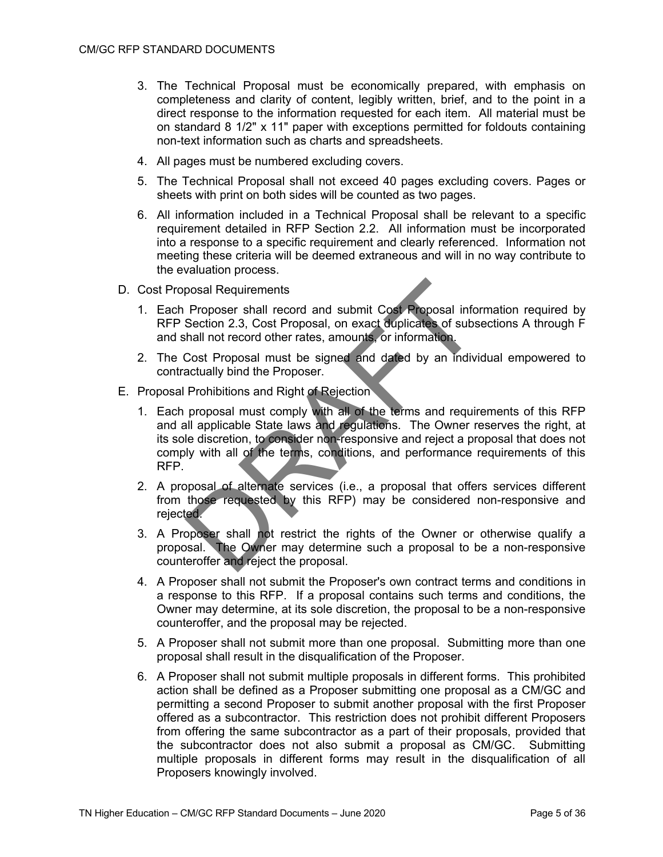- 3. The Technical Proposal must be economically prepared, with emphasis on completeness and clarity of content, legibly written, brief, and to the point in a direct response to the information requested for each item. All material must be on standard 8 1/2" x 11" paper with exceptions permitted for foldouts containing non-text information such as charts and spreadsheets.
- 4. All pages must be numbered excluding covers.
- 5. The Technical Proposal shall not exceed 40 pages excluding covers. Pages or sheets with print on both sides will be counted as two pages.
- 6. All information included in a Technical Proposal shall be relevant to a specific requirement detailed in RFP Section 2.2. All information must be incorporated into a response to a specific requirement and clearly referenced. Information not meeting these criteria will be deemed extraneous and will in no way contribute to the evaluation process.
- D. Cost Proposal Requirements
	- 1. Each Proposer shall record and submit Cost Proposal information required by RFP Section 2.3, Cost Proposal, on exact duplicates of subsections A through F and shall not record other rates, amounts, or information.
	- 2. The Cost Proposal must be signed and dated by an individual empowered to contractually bind the Proposer.
- E. Proposal Prohibitions and Right of Rejection
	- 1. Each proposal must comply with all of the terms and requirements of this RFP and all applicable State laws and regulations. The Owner reserves the right, at its sole discretion, to consider non-responsive and reject a proposal that does not comply with all of the terms, conditions, and performance requirements of this RFP.
	- 2. A proposal of alternate services (i.e., a proposal that offers services different from those requested by this RFP) may be considered non-responsive and rejected.
	- 3. A Proposer shall not restrict the rights of the Owner or otherwise qualify a proposal. The Owner may determine such a proposal to be a non-responsive counteroffer and reject the proposal.
	- 4. A Proposer shall not submit the Proposer's own contract terms and conditions in a response to this RFP. If a proposal contains such terms and conditions, the Owner may determine, at its sole discretion, the proposal to be a non-responsive counteroffer, and the proposal may be rejected.
	- 5. A Proposer shall not submit more than one proposal. Submitting more than one proposal shall result in the disqualification of the Proposer.
	- 6. A Proposer shall not submit multiple proposals in different forms. This prohibited action shall be defined as a Proposer submitting one proposal as a CM/GC and permitting a second Proposer to submit another proposal with the first Proposer offered as a subcontractor. This restriction does not prohibit different Proposers from offering the same subcontractor as a part of their proposals, provided that the subcontractor does not also submit a proposal as CM/GC. Submitting multiple proposals in different forms may result in the disqualification of all Proposers knowingly involved.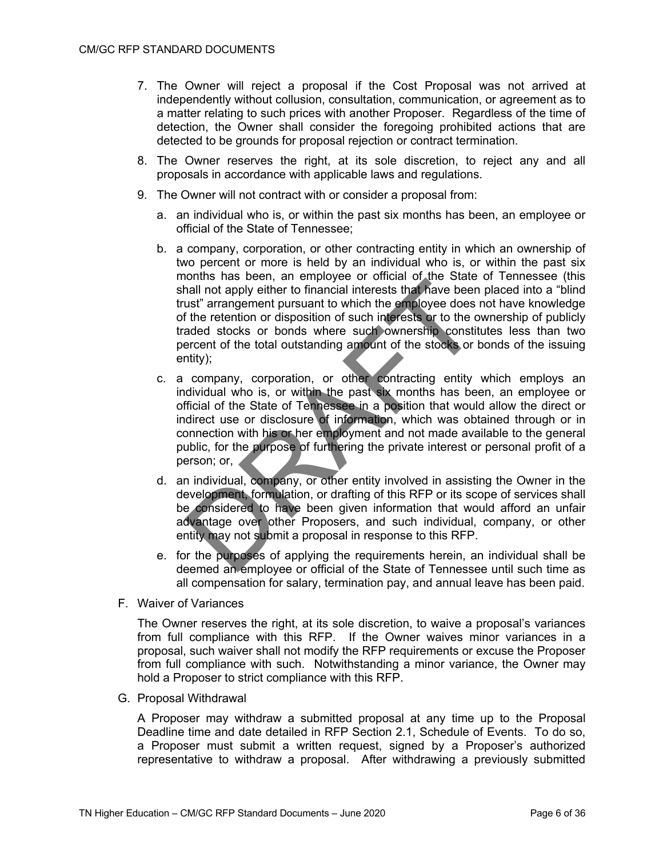- 7. The Owner will reject a proposal if the Cost Proposal was not arrived at independently without collusion, consultation, communication, or agreement as to a matter relating to such prices with another Proposer. Regardless of the time of detection, the Owner shall consider the foregoing prohibited actions that are detected to be grounds for proposal rejection or contract termination.
- 8. The Owner reserves the right, at its sole discretion, to reject any and all proposals in accordance with applicable laws and regulations.
- 9. The Owner will not contract with or consider a proposal from:
	- a. an individual who is, or within the past six months has been, an employee or official of the State of Tennessee;
	- b. a company, corporation, or other contracting entity in which an ownership of two percent or more is held by an individual who is, or within the past six months has been, an employee or official of the State of Tennessee (this shall not apply either to financial interests that have been placed into a "blind trust" arrangement pursuant to which the employee does not have knowledge of the retention or disposition of such interests or to the ownership of publicly traded stocks or bonds where such ownership constitutes less than two percent of the total outstanding amount of the stocks or bonds of the issuing entity);
	- c. a company, corporation, or other contracting entity which employs an individual who is, or within the past six months has been, an employee or official of the State of Tennessee in a position that would allow the direct or indirect use or disclosure of information, which was obtained through or in connection with his or her employment and not made available to the general public, for the purpose of furthering the private interest or personal profit of a person; or,
	- d. an individual, company, or other entity involved in assisting the Owner in the development, formulation, or drafting of this RFP or its scope of services shall be considered to have been given information that would afford an unfair advantage over other Proposers, and such individual, company, or other entity may not submit a proposal in response to this RFP.
	- e. for the purposes of applying the requirements herein, an individual shall be deemed an employee or official of the State of Tennessee until such time as all compensation for salary, termination pay, and annual leave has been paid.
- F. Waiver of Variances

The Owner reserves the right, at its sole discretion, to waive a proposal's variances from full compliance with this RFP. If the Owner waives minor variances in a proposal, such waiver shall not modify the RFP requirements or excuse the Proposer from full compliance with such. Notwithstanding a minor variance, the Owner may hold a Proposer to strict compliance with this RFP.

G. Proposal Withdrawal

A Proposer may withdraw a submitted proposal at any time up to the Proposal Deadline time and date detailed in RFP Section 2.1, Schedule of Events. To do so, a Proposer must submit a written request, signed by a Proposer's authorized representative to withdraw a proposal. After withdrawing a previously submitted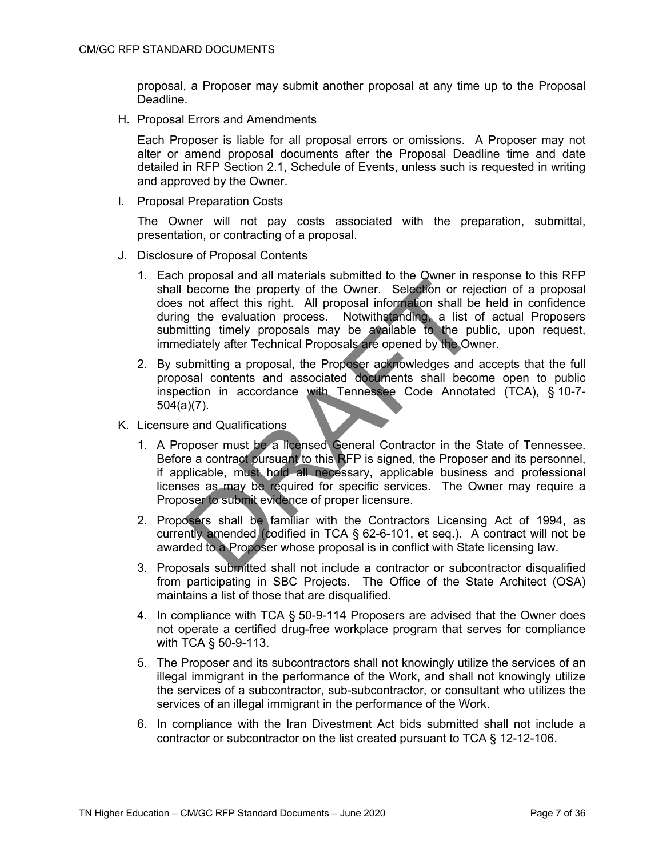proposal, a Proposer may submit another proposal at any time up to the Proposal Deadline.

H. Proposal Errors and Amendments

Each Proposer is liable for all proposal errors or omissions. A Proposer may not alter or amend proposal documents after the Proposal Deadline time and date detailed in RFP Section 2.1, Schedule of Events, unless such is requested in writing and approved by the Owner.

I. Proposal Preparation Costs

The Owner will not pay costs associated with the preparation, submittal, presentation, or contracting of a proposal.

- J. Disclosure of Proposal Contents
	- 1. Each proposal and all materials submitted to the Owner in response to this RFP shall become the property of the Owner. Selection or rejection of a proposal does not affect this right. All proposal information shall be held in confidence during the evaluation process. Notwithstanding, a list of actual Proposers submitting timely proposals may be available to the public, upon request, immediately after Technical Proposals are opened by the Owner.
	- 2. By submitting a proposal, the Proposer acknowledges and accepts that the full proposal contents and associated documents shall become open to public inspection in accordance with Tennessee Code Annotated (TCA), § 10-7- 504(a)(7).
- K. Licensure and Qualifications
	- 1. A Proposer must be a licensed General Contractor in the State of Tennessee. Before a contract pursuant to this RFP is signed, the Proposer and its personnel, if applicable, must hold all necessary, applicable business and professional licenses as may be required for specific services. The Owner may require a Proposer to submit evidence of proper licensure.
	- 2. Proposers shall be familiar with the Contractors Licensing Act of 1994, as currently amended (codified in TCA § 62-6-101, et seq.). A contract will not be awarded to a Proposer whose proposal is in conflict with State licensing law.
	- 3. Proposals submitted shall not include a contractor or subcontractor disqualified from participating in SBC Projects. The Office of the State Architect (OSA) maintains a list of those that are disqualified.
	- 4. In compliance with TCA § 50-9-114 Proposers are advised that the Owner does not operate a certified drug-free workplace program that serves for compliance with TCA § 50-9-113.
	- 5. The Proposer and its subcontractors shall not knowingly utilize the services of an illegal immigrant in the performance of the Work, and shall not knowingly utilize the services of a subcontractor, sub-subcontractor, or consultant who utilizes the services of an illegal immigrant in the performance of the Work.
	- 6. In compliance with the Iran Divestment Act bids submitted shall not include a contractor or subcontractor on the list created pursuant to TCA § 12-12-106.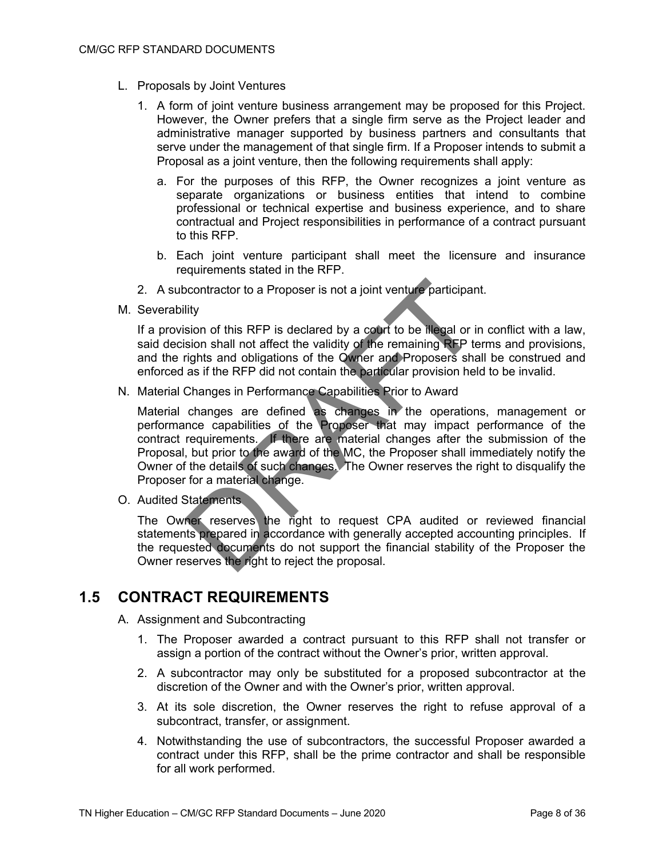- L. Proposals by Joint Ventures
	- 1. A form of joint venture business arrangement may be proposed for this Project. However, the Owner prefers that a single firm serve as the Project leader and administrative manager supported by business partners and consultants that serve under the management of that single firm. If a Proposer intends to submit a Proposal as a joint venture, then the following requirements shall apply:
		- a. For the purposes of this RFP, the Owner recognizes a joint venture as separate organizations or business entities that intend to combine professional or technical expertise and business experience, and to share contractual and Project responsibilities in performance of a contract pursuant to this RFP.
		- b. Each joint venture participant shall meet the licensure and insurance requirements stated in the RFP.
	- 2. A subcontractor to a Proposer is not a joint venture participant.
- M. Severability

If a provision of this RFP is declared by a court to be illegal or in conflict with a law, said decision shall not affect the validity of the remaining RFP terms and provisions, and the rights and obligations of the Owner and Proposers shall be construed and enforced as if the RFP did not contain the particular provision held to be invalid.

N. Material Changes in Performance Capabilities Prior to Award

Material changes are defined as changes in the operations, management or performance capabilities of the Proposer that may impact performance of the contract requirements. If there are material changes after the submission of the Proposal, but prior to the award of the MC, the Proposer shall immediately notify the Owner of the details of such changes. The Owner reserves the right to disqualify the Proposer for a material change.

O. Audited Statements

The Owner reserves the right to request CPA audited or reviewed financial statements prepared in accordance with generally accepted accounting principles. If the requested documents do not support the financial stability of the Proposer the Owner reserves the right to reject the proposal.

## **1.5 CONTRACT REQUIREMENTS**

- A. Assignment and Subcontracting
	- 1. The Proposer awarded a contract pursuant to this RFP shall not transfer or assign a portion of the contract without the Owner's prior, written approval.
	- 2. A subcontractor may only be substituted for a proposed subcontractor at the discretion of the Owner and with the Owner's prior, written approval.
	- 3. At its sole discretion, the Owner reserves the right to refuse approval of a subcontract, transfer, or assignment.
	- 4. Notwithstanding the use of subcontractors, the successful Proposer awarded a contract under this RFP, shall be the prime contractor and shall be responsible for all work performed.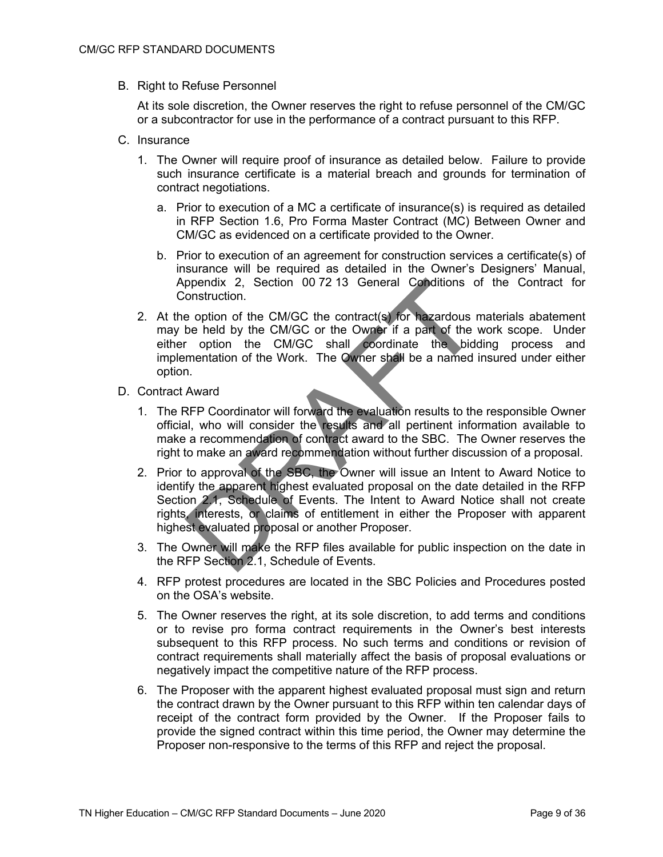B. Right to Refuse Personnel

At its sole discretion, the Owner reserves the right to refuse personnel of the CM/GC or a subcontractor for use in the performance of a contract pursuant to this RFP.

- C. Insurance
	- 1. The Owner will require proof of insurance as detailed below. Failure to provide such insurance certificate is a material breach and grounds for termination of contract negotiations.
		- a. Prior to execution of a MC a certificate of insurance(s) is required as detailed in RFP Section 1.6, Pro Forma Master Contract (MC) Between Owner and CM/GC as evidenced on a certificate provided to the Owner.
		- b. Prior to execution of an agreement for construction services a certificate(s) of insurance will be required as detailed in the Owner's Designers' Manual, Appendix 2, Section 00 72 13 General Conditions of the Contract for Construction.
	- 2. At the option of the CM/GC the contract(s) for hazardous materials abatement may be held by the CM/GC or the Owner if a part of the work scope. Under either option the CM/GC shall coordinate the bidding process and implementation of the Work. The Owner shall be a named insured under either option.
- D. Contract Award
	- 1. The RFP Coordinator will forward the evaluation results to the responsible Owner official, who will consider the results and all pertinent information available to make a recommendation of contract award to the SBC. The Owner reserves the right to make an award recommendation without further discussion of a proposal.
	- 2. Prior to approval of the SBC, the Owner will issue an Intent to Award Notice to identify the apparent highest evaluated proposal on the date detailed in the RFP Section 2.1, Schedule of Events. The Intent to Award Notice shall not create rights, interests, or claims of entitlement in either the Proposer with apparent highest evaluated proposal or another Proposer.
	- 3. The Owner will make the RFP files available for public inspection on the date in the RFP Section 2.1, Schedule of Events.
	- 4. RFP protest procedures are located in the SBC Policies and Procedures posted on the OSA's website.
	- 5. The Owner reserves the right, at its sole discretion, to add terms and conditions or to revise pro forma contract requirements in the Owner's best interests subsequent to this RFP process. No such terms and conditions or revision of contract requirements shall materially affect the basis of proposal evaluations or negatively impact the competitive nature of the RFP process.
	- 6. The Proposer with the apparent highest evaluated proposal must sign and return the contract drawn by the Owner pursuant to this RFP within ten calendar days of receipt of the contract form provided by the Owner. If the Proposer fails to provide the signed contract within this time period, the Owner may determine the Proposer non-responsive to the terms of this RFP and reject the proposal.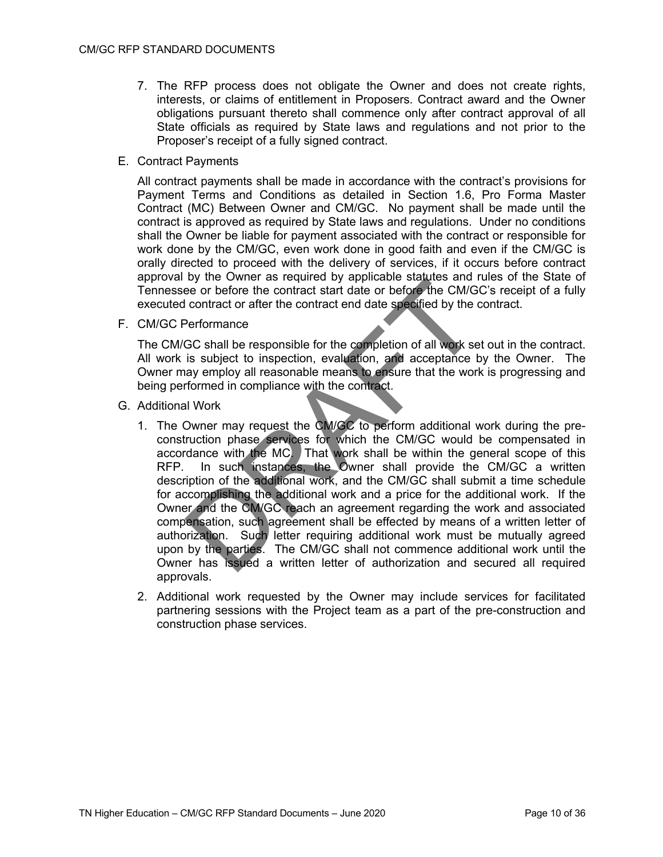- 7. The RFP process does not obligate the Owner and does not create rights, interests, or claims of entitlement in Proposers. Contract award and the Owner obligations pursuant thereto shall commence only after contract approval of all State officials as required by State laws and regulations and not prior to the Proposer's receipt of a fully signed contract.
- E. Contract Payments

All contract payments shall be made in accordance with the contract's provisions for Payment Terms and Conditions as detailed in Section 1.6, Pro Forma Master Contract (MC) Between Owner and CM/GC. No payment shall be made until the contract is approved as required by State laws and regulations. Under no conditions shall the Owner be liable for payment associated with the contract or responsible for work done by the CM/GC, even work done in good faith and even if the CM/GC is orally directed to proceed with the delivery of services, if it occurs before contract approval by the Owner as required by applicable statutes and rules of the State of Tennessee or before the contract start date or before the CM/GC's receipt of a fully executed contract or after the contract end date specified by the contract.

F. CM/GC Performance

The CM/GC shall be responsible for the completion of all work set out in the contract. All work is subject to inspection, evaluation, and acceptance by the Owner. The Owner may employ all reasonable means to ensure that the work is progressing and being performed in compliance with the contract.

- G. Additional Work
	- 1. The Owner may request the CM/GC to perform additional work during the preconstruction phase services for which the CM/GC would be compensated in accordance with the MC. That work shall be within the general scope of this RFP. In such instances, the Owner shall provide the CM/GC a written description of the additional work, and the CM/GC shall submit a time schedule for accomplishing the additional work and a price for the additional work. If the Owner and the CM/GC reach an agreement regarding the work and associated compensation, such agreement shall be effected by means of a written letter of authorization. Such letter requiring additional work must be mutually agreed upon by the parties. The CM/GC shall not commence additional work until the Owner has issued a written letter of authorization and secured all required approvals.
	- 2. Additional work requested by the Owner may include services for facilitated partnering sessions with the Project team as a part of the pre-construction and construction phase services.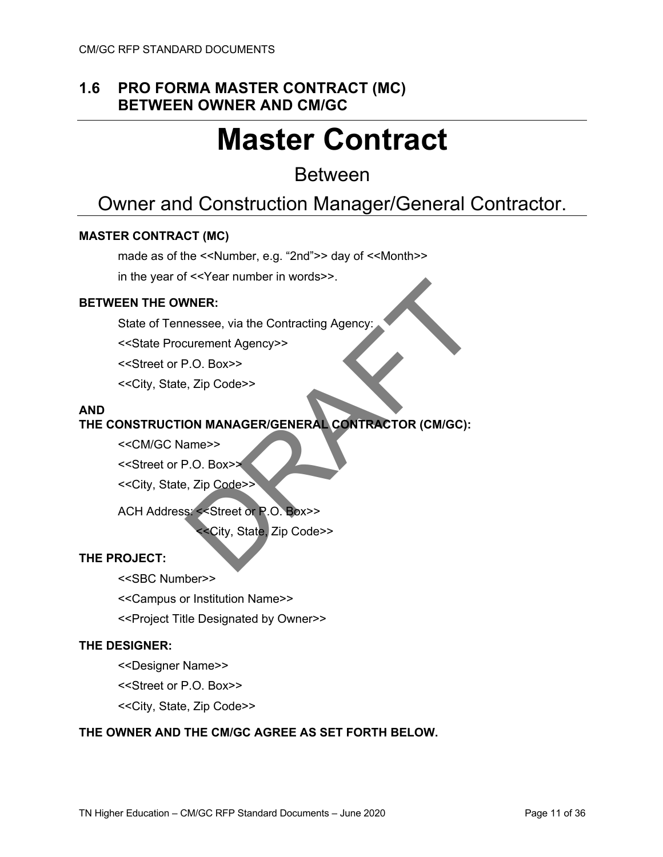## **1.6 PRO FORMA MASTER CONTRACT (MC) BETWEEN OWNER AND CM/GC**

# **Master Contract**

## Between

# Owner and Construction Manager/General Contractor.

### **MASTER CONTRACT (MC)**

made as of the <<Number, e.g. "2nd">> day of <<Month>>

in the year of <<Year number in words>>.

### **BETWEEN THE OWNER:**

State of Tennessee, via the Contracting Agency:

<<State Procurement Agency>>

<<Street or P.O. Box>>

<<City, State, Zip Code>>

### **AND**

### **THE CONSTRUCTION MANAGER/GENERAL CONTRACTOR (CM/GC):**

<<CM/GC Name>>

<<Street or P.O. Box>>

<<City, State, Zip Code>>

ACH Address: <<Street or P.O. Box>>

<<City, State, Zip Code>>

### **THE PROJECT:**

<<SBC Number>>

<<Campus or Institution Name>>

<<Project Title Designated by Owner>>

### **THE DESIGNER:**

<<Designer Name>>

<<Street or P.O. Box>>

<<City, State, Zip Code>>

### **THE OWNER AND THE CM/GC AGREE AS SET FORTH BELOW.**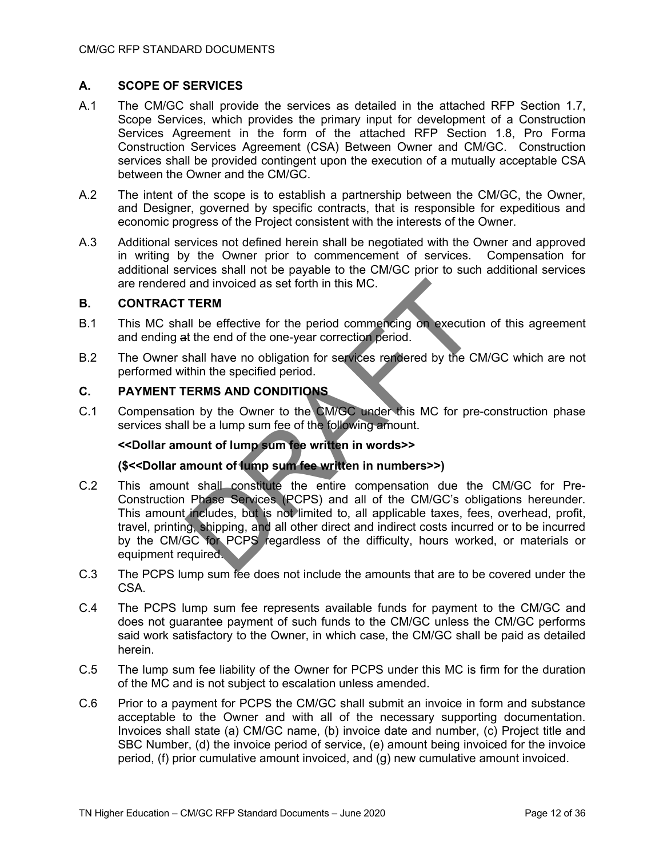### **A. SCOPE OF SERVICES**

- A.1 The CM/GC shall provide the services as detailed in the attached RFP Section 1.7, Scope Services, which provides the primary input for development of a Construction Services Agreement in the form of the attached RFP Section 1.8, Pro Forma Construction Services Agreement (CSA) Between Owner and CM/GC. Construction services shall be provided contingent upon the execution of a mutually acceptable CSA between the Owner and the CM/GC.
- A.2 The intent of the scope is to establish a partnership between the CM/GC, the Owner, and Designer, governed by specific contracts, that is responsible for expeditious and economic progress of the Project consistent with the interests of the Owner.
- A.3 Additional services not defined herein shall be negotiated with the Owner and approved in writing by the Owner prior to commencement of services. Compensation for additional services shall not be payable to the CM/GC prior to such additional services are rendered and invoiced as set forth in this MC.

### **B. CONTRACT TERM**

- B.1 This MC shall be effective for the period commencing on execution of this agreement and ending at the end of the one-year correction period.
- B.2 The Owner shall have no obligation for services rendered by the CM/GC which are not performed within the specified period.

### **C. PAYMENT TERMS AND CONDITIONS**

C.1 Compensation by the Owner to the CM/GC under this MC for pre-construction phase services shall be a lump sum fee of the following amount.

### **<<Dollar amount of lump sum fee written in words>>**

### **(\$<<Dollar amount of lump sum fee written in numbers>>)**

- C.2 This amount shall constitute the entire compensation due the CM/GC for Pre-Construction Phase Services (PCPS) and all of the CM/GC's obligations hereunder. This amount includes, but is not limited to, all applicable taxes, fees, overhead, profit, travel, printing, shipping, and all other direct and indirect costs incurred or to be incurred by the CM/GC for PCPS regardless of the difficulty, hours worked, or materials or equipment required.
- C.3 The PCPS lump sum fee does not include the amounts that are to be covered under the CSA.
- C.4 The PCPS lump sum fee represents available funds for payment to the CM/GC and does not guarantee payment of such funds to the CM/GC unless the CM/GC performs said work satisfactory to the Owner, in which case, the CM/GC shall be paid as detailed herein.
- C.5 The lump sum fee liability of the Owner for PCPS under this MC is firm for the duration of the MC and is not subject to escalation unless amended.
- C.6 Prior to a payment for PCPS the CM/GC shall submit an invoice in form and substance acceptable to the Owner and with all of the necessary supporting documentation. Invoices shall state (a) CM/GC name, (b) invoice date and number, (c) Project title and SBC Number, (d) the invoice period of service, (e) amount being invoiced for the invoice period, (f) prior cumulative amount invoiced, and (g) new cumulative amount invoiced.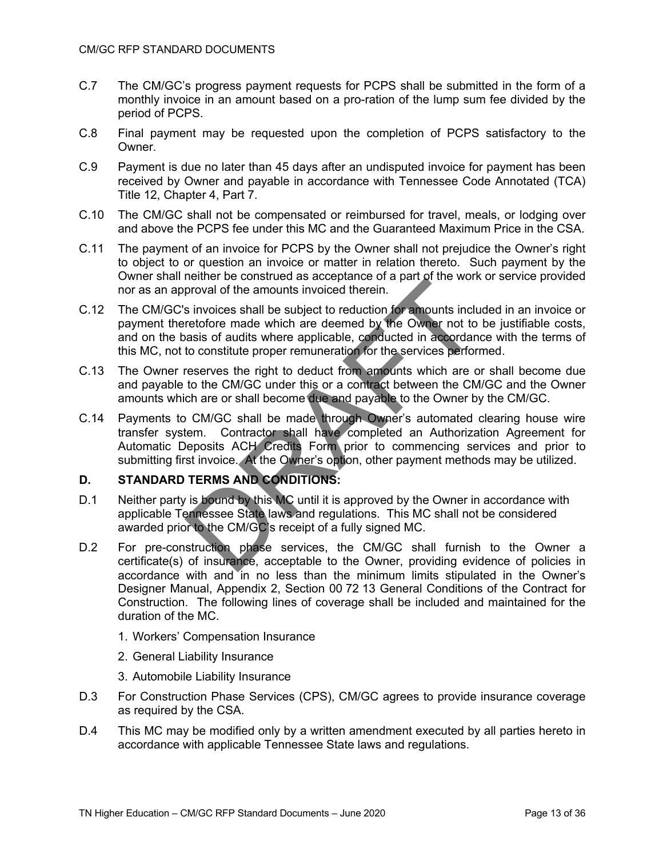- C.7 The CM/GC's progress payment requests for PCPS shall be submitted in the form of a monthly invoice in an amount based on a pro-ration of the lump sum fee divided by the period of PCPS.
- C.8 Final payment may be requested upon the completion of PCPS satisfactory to the Owner.
- C.9 Payment is due no later than 45 days after an undisputed invoice for payment has been received by Owner and payable in accordance with Tennessee Code Annotated (TCA) Title 12, Chapter 4, Part 7.
- C.10 The CM/GC shall not be compensated or reimbursed for travel, meals, or lodging over and above the PCPS fee under this MC and the Guaranteed Maximum Price in the CSA.
- C.11 The payment of an invoice for PCPS by the Owner shall not prejudice the Owner's right to object to or question an invoice or matter in relation thereto. Such payment by the Owner shall neither be construed as acceptance of a part of the work or service provided nor as an approval of the amounts invoiced therein.
- C.12 The CM/GC's invoices shall be subject to reduction for amounts included in an invoice or payment theretofore made which are deemed by the Owner not to be justifiable costs, and on the basis of audits where applicable, conducted in accordance with the terms of this MC, not to constitute proper remuneration for the services performed.
- C.13 The Owner reserves the right to deduct from amounts which are or shall become due and payable to the CM/GC under this or a contract between the CM/GC and the Owner amounts which are or shall become due and payable to the Owner by the CM/GC.
- C.14 Payments to CM/GC shall be made through Owner's automated clearing house wire transfer system. Contractor shall have completed an Authorization Agreement for Automatic Deposits ACH Credits Form prior to commencing services and prior to submitting first invoice. At the Owner's option, other payment methods may be utilized.

### **D. STANDARD TERMS AND CONDITIONS:**

- D.1 Neither party is bound by this MC until it is approved by the Owner in accordance with applicable Tennessee State laws and regulations. This MC shall not be considered awarded prior to the CM/GC's receipt of a fully signed MC.
- D.2 For pre-construction phase services, the CM/GC shall furnish to the Owner a certificate(s) of insurance, acceptable to the Owner, providing evidence of policies in accordance with and in no less than the minimum limits stipulated in the Owner's Designer Manual, Appendix 2, Section 00 72 13 General Conditions of the Contract for Construction. The following lines of coverage shall be included and maintained for the duration of the MC.
	- 1. Workers' Compensation Insurance
	- 2. General Liability Insurance
	- 3. Automobile Liability Insurance
- D.3 For Construction Phase Services (CPS), CM/GC agrees to provide insurance coverage as required by the CSA.
- D.4 This MC may be modified only by a written amendment executed by all parties hereto in accordance with applicable Tennessee State laws and regulations.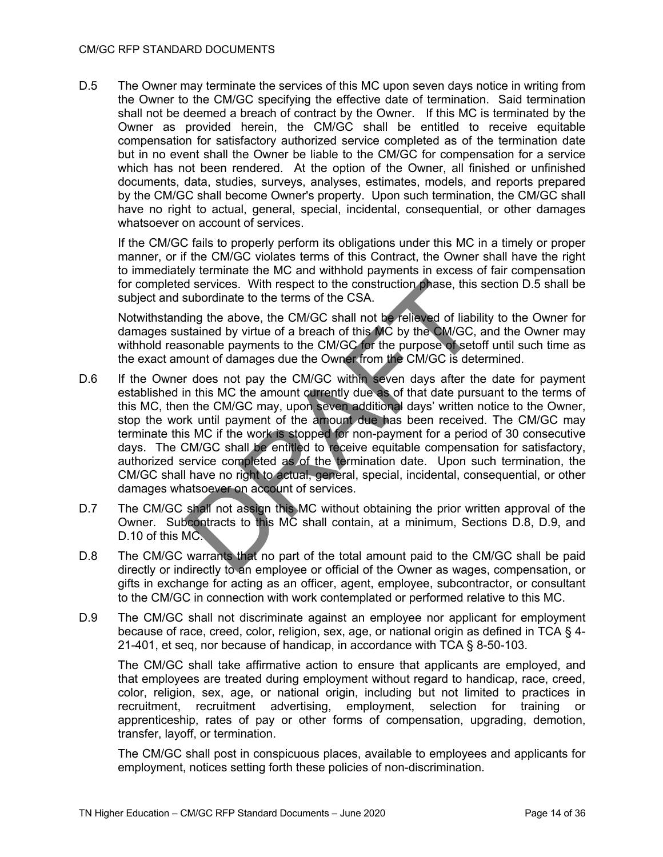#### CM/GC RFP STANDARD DOCUMENTS

D.5 The Owner may terminate the services of this MC upon seven days notice in writing from the Owner to the CM/GC specifying the effective date of termination. Said termination shall not be deemed a breach of contract by the Owner. If this MC is terminated by the Owner as provided herein, the CM/GC shall be entitled to receive equitable compensation for satisfactory authorized service completed as of the termination date but in no event shall the Owner be liable to the CM/GC for compensation for a service which has not been rendered. At the option of the Owner, all finished or unfinished documents, data, studies, surveys, analyses, estimates, models, and reports prepared by the CM/GC shall become Owner's property. Upon such termination, the CM/GC shall have no right to actual, general, special, incidental, consequential, or other damages whatsoever on account of services.

If the CM/GC fails to properly perform its obligations under this MC in a timely or proper manner, or if the CM/GC violates terms of this Contract, the Owner shall have the right to immediately terminate the MC and withhold payments in excess of fair compensation for completed services. With respect to the construction phase, this section D.5 shall be subject and subordinate to the terms of the CSA.

Notwithstanding the above, the CM/GC shall not be relieved of liability to the Owner for damages sustained by virtue of a breach of this MC by the CM/GC, and the Owner may withhold reasonable payments to the CM/GC for the purpose of setoff until such time as the exact amount of damages due the Owner from the CM/GC is determined.

- D.6 If the Owner does not pay the CM/GC within seven days after the date for payment established in this MC the amount currently due as of that date pursuant to the terms of this MC, then the CM/GC may, upon seven additional days' written notice to the Owner, stop the work until payment of the amount due has been received. The CM/GC may terminate this MC if the work is stopped for non-payment for a period of 30 consecutive days. The CM/GC shall be entitled to receive equitable compensation for satisfactory, authorized service completed as of the termination date. Upon such termination, the CM/GC shall have no right to actual, general, special, incidental, consequential, or other damages whatsoever on account of services.
- D.7 The CM/GC shall not assign this MC without obtaining the prior written approval of the Owner. Subcontracts to this MC shall contain, at a minimum, Sections D.8, D.9, and D.10 of this MC.
- D.8 The CM/GC warrants that no part of the total amount paid to the CM/GC shall be paid directly or indirectly to an employee or official of the Owner as wages, compensation, or gifts in exchange for acting as an officer, agent, employee, subcontractor, or consultant to the CM/GC in connection with work contemplated or performed relative to this MC.
- D.9 The CM/GC shall not discriminate against an employee nor applicant for employment because of race, creed, color, religion, sex, age, or national origin as defined in TCA § 4- 21-401, et seq, nor because of handicap, in accordance with TCA § 8-50-103.

The CM/GC shall take affirmative action to ensure that applicants are employed, and that employees are treated during employment without regard to handicap, race, creed, color, religion, sex, age, or national origin, including but not limited to practices in recruitment, recruitment advertising, employment, selection for training or apprenticeship, rates of pay or other forms of compensation, upgrading, demotion, transfer, layoff, or termination.

The CM/GC shall post in conspicuous places, available to employees and applicants for employment, notices setting forth these policies of non-discrimination.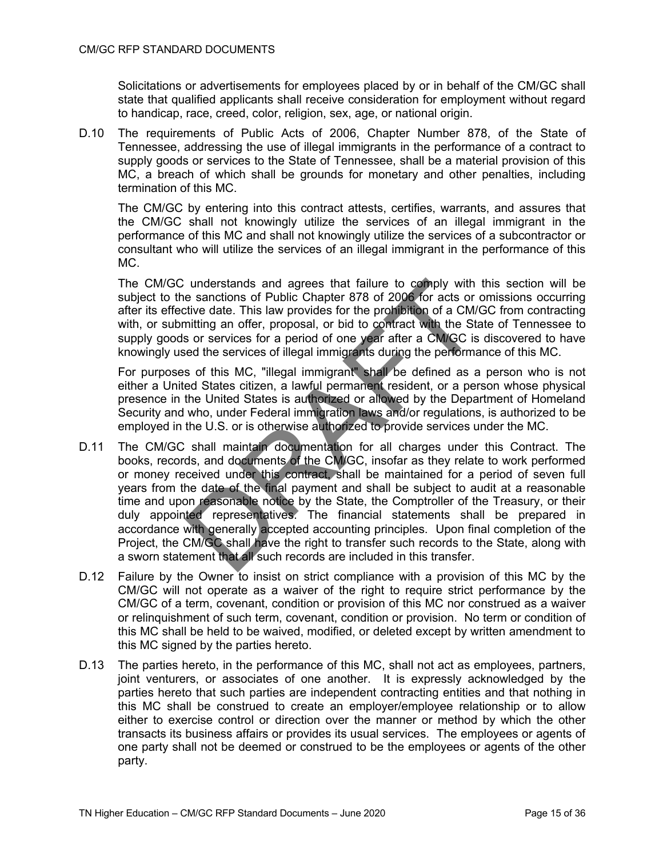Solicitations or advertisements for employees placed by or in behalf of the CM/GC shall state that qualified applicants shall receive consideration for employment without regard to handicap, race, creed, color, religion, sex, age, or national origin.

D.10 The requirements of Public Acts of 2006, Chapter Number 878, of the State of Tennessee, addressing the use of illegal immigrants in the performance of a contract to supply goods or services to the State of Tennessee, shall be a material provision of this MC, a breach of which shall be grounds for monetary and other penalties, including termination of this MC.

The CM/GC by entering into this contract attests, certifies, warrants, and assures that the CM/GC shall not knowingly utilize the services of an illegal immigrant in the performance of this MC and shall not knowingly utilize the services of a subcontractor or consultant who will utilize the services of an illegal immigrant in the performance of this MC.

The CM/GC understands and agrees that failure to comply with this section will be subject to the sanctions of Public Chapter 878 of 2006 for acts or omissions occurring after its effective date. This law provides for the prohibition of a CM/GC from contracting with, or submitting an offer, proposal, or bid to contract with the State of Tennessee to supply goods or services for a period of one year after a CM/GC is discovered to have knowingly used the services of illegal immigrants during the performance of this MC.

For purposes of this MC, "illegal immigrant" shall be defined as a person who is not either a United States citizen, a lawful permanent resident, or a person whose physical presence in the United States is authorized or allowed by the Department of Homeland Security and who, under Federal immigration laws and/or regulations, is authorized to be employed in the U.S. or is otherwise authorized to provide services under the MC.

- D.11 The CM/GC shall maintain documentation for all charges under this Contract. The books, records, and documents of the CM/GC, insofar as they relate to work performed or money received under this contract, shall be maintained for a period of seven full years from the date of the final payment and shall be subject to audit at a reasonable time and upon reasonable notice by the State, the Comptroller of the Treasury, or their duly appointed representatives. The financial statements shall be prepared in accordance with generally accepted accounting principles. Upon final completion of the Project, the CM/GC shall have the right to transfer such records to the State, along with a sworn statement that all such records are included in this transfer.
- D.12 Failure by the Owner to insist on strict compliance with a provision of this MC by the CM/GC will not operate as a waiver of the right to require strict performance by the CM/GC of a term, covenant, condition or provision of this MC nor construed as a waiver or relinquishment of such term, covenant, condition or provision. No term or condition of this MC shall be held to be waived, modified, or deleted except by written amendment to this MC signed by the parties hereto.
- D.13 The parties hereto, in the performance of this MC, shall not act as employees, partners, joint venturers, or associates of one another. It is expressly acknowledged by the parties hereto that such parties are independent contracting entities and that nothing in this MC shall be construed to create an employer/employee relationship or to allow either to exercise control or direction over the manner or method by which the other transacts its business affairs or provides its usual services. The employees or agents of one party shall not be deemed or construed to be the employees or agents of the other party.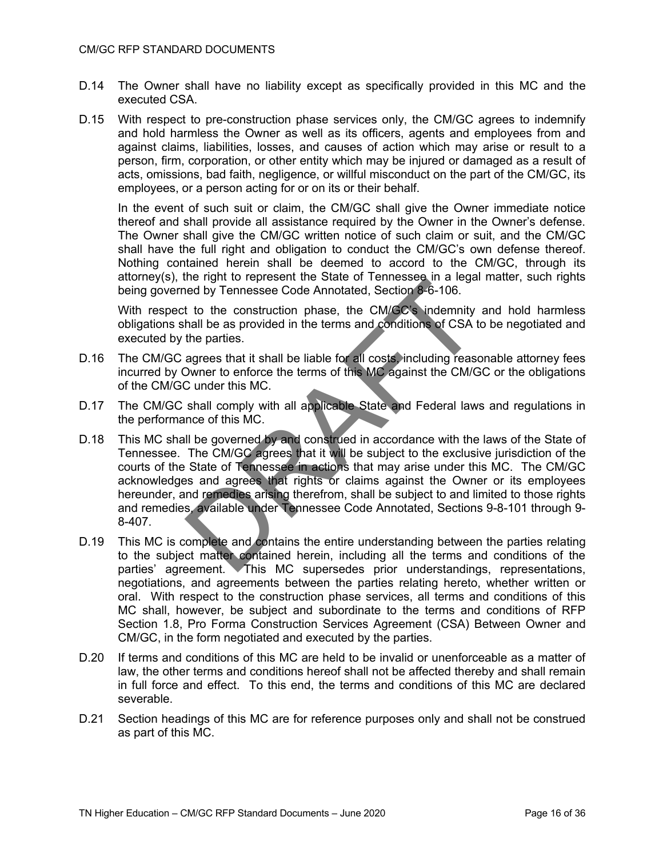- D.14 The Owner shall have no liability except as specifically provided in this MC and the executed CSA.
- D.15 With respect to pre-construction phase services only, the CM/GC agrees to indemnify and hold harmless the Owner as well as its officers, agents and employees from and against claims, liabilities, losses, and causes of action which may arise or result to a person, firm, corporation, or other entity which may be injured or damaged as a result of acts, omissions, bad faith, negligence, or willful misconduct on the part of the CM/GC, its employees, or a person acting for or on its or their behalf.

In the event of such suit or claim, the CM/GC shall give the Owner immediate notice thereof and shall provide all assistance required by the Owner in the Owner's defense. The Owner shall give the CM/GC written notice of such claim or suit, and the CM/GC shall have the full right and obligation to conduct the CM/GC's own defense thereof. Nothing contained herein shall be deemed to accord to the CM/GC, through its attorney(s), the right to represent the State of Tennessee in a legal matter, such rights being governed by Tennessee Code Annotated, Section 8-6-106.

With respect to the construction phase, the CM/GC's indemnity and hold harmless obligations shall be as provided in the terms and conditions of CSA to be negotiated and executed by the parties.

- D.16 The CM/GC agrees that it shall be liable for all costs, including reasonable attorney fees incurred by Owner to enforce the terms of this MC against the CM/GC or the obligations of the CM/GC under this MC.
- D.17 The CM/GC shall comply with all applicable State and Federal laws and regulations in the performance of this MC.
- D.18 This MC shall be governed by and construed in accordance with the laws of the State of Tennessee. The CM/GC agrees that it will be subject to the exclusive jurisdiction of the courts of the State of Tennessee in actions that may arise under this MC. The CM/GC acknowledges and agrees that rights or claims against the Owner or its employees hereunder, and remedies arising therefrom, shall be subject to and limited to those rights and remedies, available under Tennessee Code Annotated, Sections 9-8-101 through 9- 8-407.
- D.19 This MC is complete and contains the entire understanding between the parties relating to the subject matter contained herein, including all the terms and conditions of the parties' agreement. This MC supersedes prior understandings, representations, negotiations, and agreements between the parties relating hereto, whether written or oral. With respect to the construction phase services, all terms and conditions of this MC shall, however, be subject and subordinate to the terms and conditions of RFP Section 1.8, Pro Forma Construction Services Agreement (CSA) Between Owner and CM/GC, in the form negotiated and executed by the parties.
- D.20 If terms and conditions of this MC are held to be invalid or unenforceable as a matter of law, the other terms and conditions hereof shall not be affected thereby and shall remain in full force and effect. To this end, the terms and conditions of this MC are declared severable.
- D.21 Section headings of this MC are for reference purposes only and shall not be construed as part of this MC.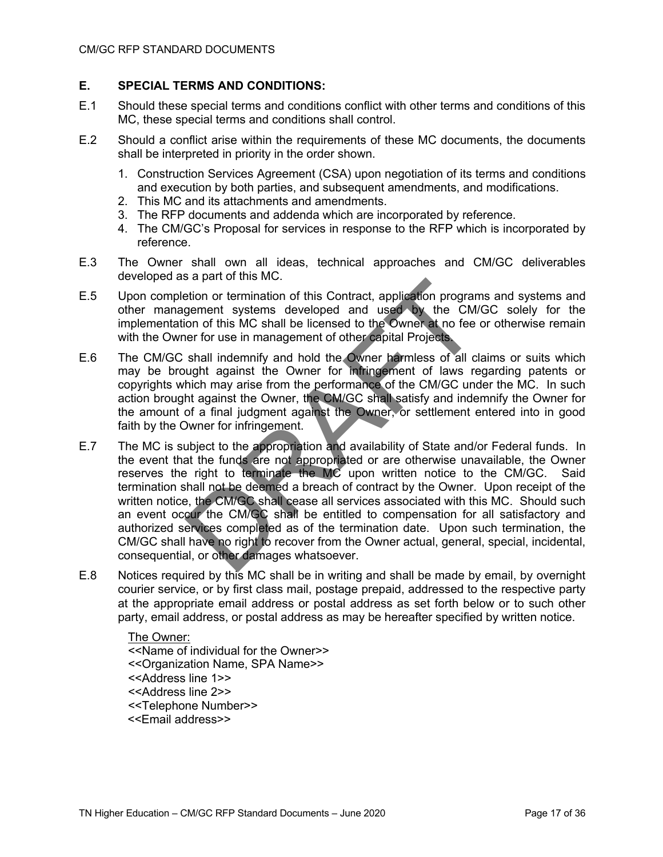### **E. SPECIAL TERMS AND CONDITIONS:**

- E.1 Should these special terms and conditions conflict with other terms and conditions of this MC, these special terms and conditions shall control.
- E.2 Should a conflict arise within the requirements of these MC documents, the documents shall be interpreted in priority in the order shown.
	- 1. Construction Services Agreement (CSA) upon negotiation of its terms and conditions and execution by both parties, and subsequent amendments, and modifications.
	- 2. This MC and its attachments and amendments.
	- 3. The RFP documents and addenda which are incorporated by reference.
	- 4. The CM/GC's Proposal for services in response to the RFP which is incorporated by reference.
- E.3 The Owner shall own all ideas, technical approaches and CM/GC deliverables developed as a part of this MC.
- E.5 Upon completion or termination of this Contract, application programs and systems and other management systems developed and used by the CM/GC solely for the implementation of this MC shall be licensed to the Owner at no fee or otherwise remain with the Owner for use in management of other capital Projects.
- E.6 The CM/GC shall indemnify and hold the Owner harmless of all claims or suits which may be brought against the Owner for infringement of laws regarding patents or copyrights which may arise from the performance of the CM/GC under the MC. In such action brought against the Owner, the CM/GC shall satisfy and indemnify the Owner for the amount of a final judgment against the Owner, or settlement entered into in good faith by the Owner for infringement.
- E.7 The MC is subject to the appropriation and availability of State and/or Federal funds. In the event that the funds are not appropriated or are otherwise unavailable, the Owner reserves the right to terminate the MC upon written notice to the CM/GC. Said termination shall not be deemed a breach of contract by the Owner. Upon receipt of the written notice, the CM/GC shall cease all services associated with this MC. Should such an event occur the CM/GC shall be entitled to compensation for all satisfactory and authorized services completed as of the termination date. Upon such termination, the CM/GC shall have no right to recover from the Owner actual, general, special, incidental, consequential, or other damages whatsoever.
- E.8 Notices required by this MC shall be in writing and shall be made by email, by overnight courier service, or by first class mail, postage prepaid, addressed to the respective party at the appropriate email address or postal address as set forth below or to such other party, email address, or postal address as may be hereafter specified by written notice.

The Owner: <<Name of individual for the Owner>> <<Organization Name, SPA Name>> <<Address line 1>> <<Address line 2>> <<Telephone Number>> <<Email address>>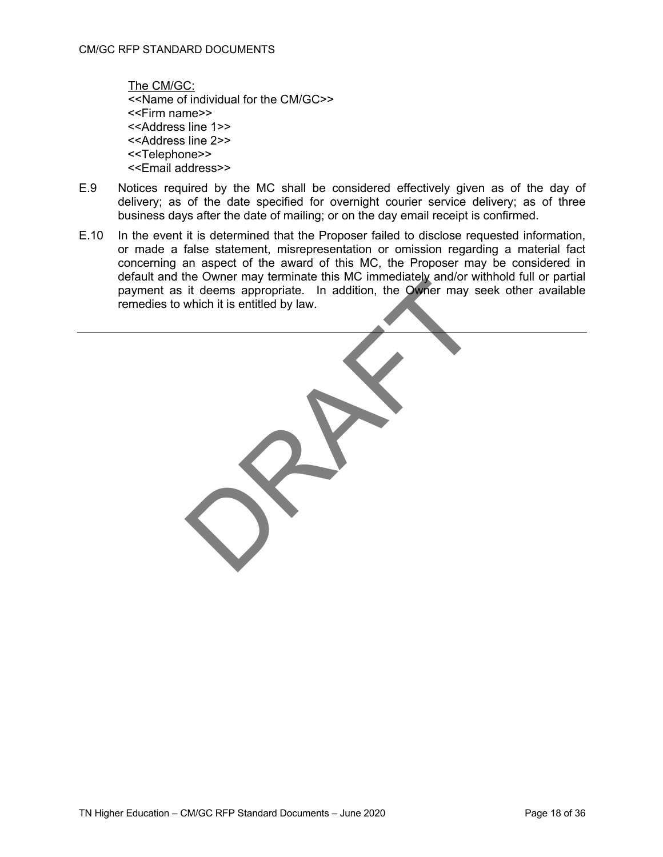The CM/GC: <<Name of individual for the CM/GC>> <<Firm name>> <<Address line 1>> <<Address line 2>> <<Telephone>> <<Email address>>

- E.9 Notices required by the MC shall be considered effectively given as of the day of delivery; as of the date specified for overnight courier service delivery; as of three business days after the date of mailing; or on the day email receipt is confirmed.
- E.10 In the event it is determined that the Proposer failed to disclose requested information, or made a false statement, misrepresentation or omission regarding a material fact concerning an aspect of the award of this MC, the Proposer may be considered in default and the Owner may terminate this MC immediately and/or withhold full or partial payment as it deems appropriate. In addition, the Owner may seek other available remedies to which it is entitled by law.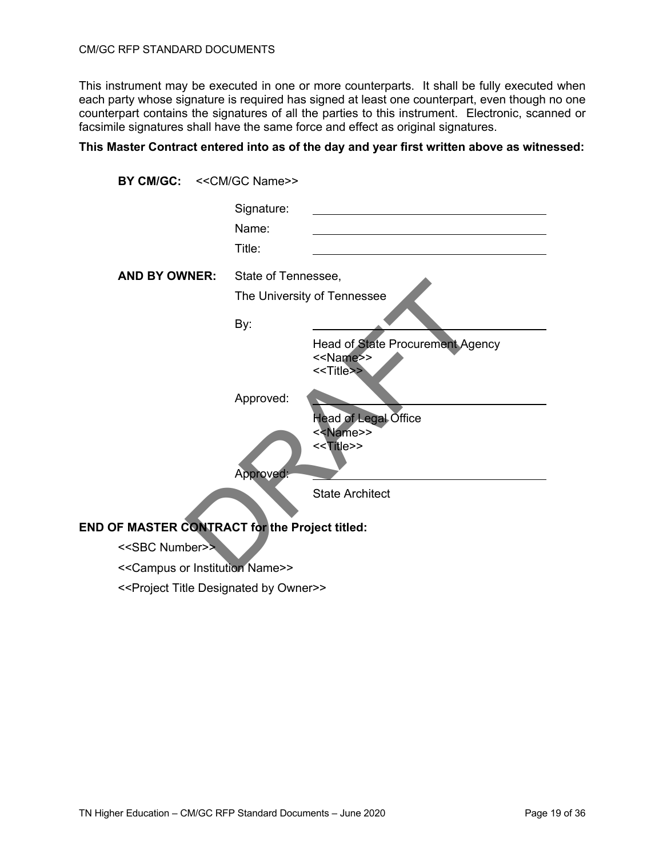### CM/GC RFP STANDARD DOCUMENTS

This instrument may be executed in one or more counterparts. It shall be fully executed when each party whose signature is required has signed at least one counterpart, even though no one counterpart contains the signatures of all the parties to this instrument. Electronic, scanned or facsimile signatures shall have the same force and effect as original signatures.

### **This Master Contract entered into as of the day and year first written above as witnessed:**

| BY CM/GC:            | < <cm gc="" name="">&gt;</cm> |                                                                                            |
|----------------------|-------------------------------|--------------------------------------------------------------------------------------------|
|                      | Signature:<br>Name:<br>Title: |                                                                                            |
| <b>AND BY OWNER:</b> | State of Tennessee,           |                                                                                            |
|                      |                               | The University of Tennessee                                                                |
|                      | By:                           |                                                                                            |
|                      |                               | <b>Head of State Procurement Agency</b><br>< <name>&gt;<br/>&lt;<title>&gt;</title></name> |
|                      | Approved:                     |                                                                                            |
|                      |                               | Head of Legal Office<br>< <name>&gt;<br/>&lt;<title>&gt;</title></name>                    |
|                      | Approved:                     |                                                                                            |
|                      |                               | <b>State Architect</b>                                                                     |

### **END OF MASTER CONTRACT for the Project titled:**

<<SBC Number>>

<<Campus or Institution Name>>

<<Project Title Designated by Owner>>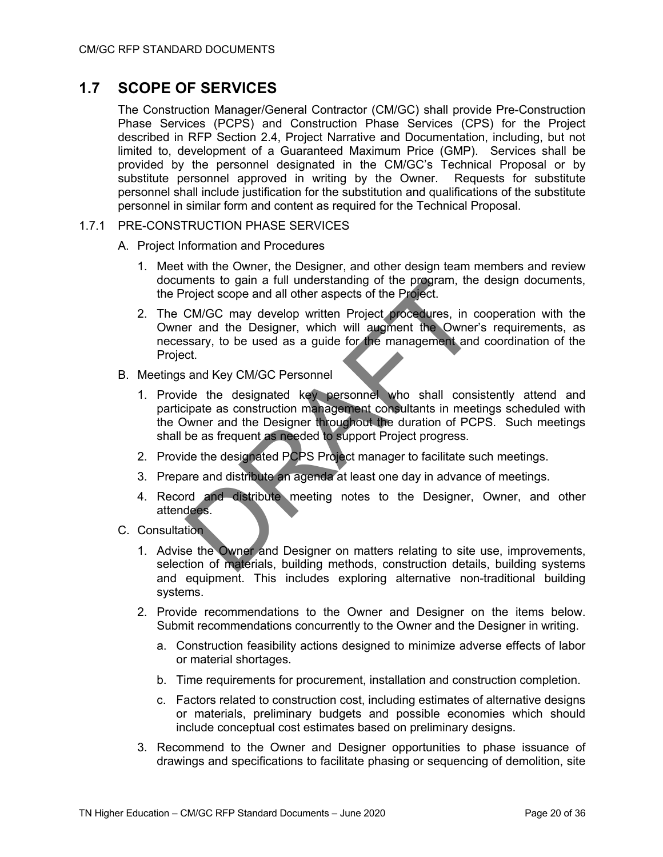## **1.7 SCOPE OF SERVICES**

The Construction Manager/General Contractor (CM/GC) shall provide Pre-Construction Phase Services (PCPS) and Construction Phase Services (CPS) for the Project described in RFP Section 2.4, Project Narrative and Documentation, including, but not limited to, development of a Guaranteed Maximum Price (GMP). Services shall be provided by the personnel designated in the CM/GC's Technical Proposal or by substitute personnel approved in writing by the Owner. Requests for substitute personnel shall include justification for the substitution and qualifications of the substitute personnel in similar form and content as required for the Technical Proposal.

### 1.7.1 PRE-CONSTRUCTION PHASE SERVICES

- A. Project Information and Procedures
	- 1. Meet with the Owner, the Designer, and other design team members and review documents to gain a full understanding of the program, the design documents, the Project scope and all other aspects of the Project.
	- 2. The CM/GC may develop written Project procedures, in cooperation with the Owner and the Designer, which will augment the Owner's requirements, as necessary, to be used as a guide for the management and coordination of the Project.
- B. Meetings and Key CM/GC Personnel
	- 1. Provide the designated key personnel who shall consistently attend and participate as construction management consultants in meetings scheduled with the Owner and the Designer throughout the duration of PCPS. Such meetings shall be as frequent as needed to support Project progress*.*
	- 2. Provide the designated PCPS Project manager to facilitate such meetings.
	- 3. Prepare and distribute an agenda at least one day in advance of meetings.
	- 4. Record and distribute meeting notes to the Designer, Owner, and other attendees.
- C. Consultation
	- 1. Advise the Owner and Designer on matters relating to site use, improvements, selection of materials, building methods, construction details, building systems and equipment. This includes exploring alternative non-traditional building systems.
	- 2. Provide recommendations to the Owner and Designer on the items below. Submit recommendations concurrently to the Owner and the Designer in writing.
		- a. Construction feasibility actions designed to minimize adverse effects of labor or material shortages.
		- b. Time requirements for procurement, installation and construction completion.
		- c. Factors related to construction cost, including estimates of alternative designs or materials, preliminary budgets and possible economies which should include conceptual cost estimates based on preliminary designs.
	- 3. Recommend to the Owner and Designer opportunities to phase issuance of drawings and specifications to facilitate phasing or sequencing of demolition, site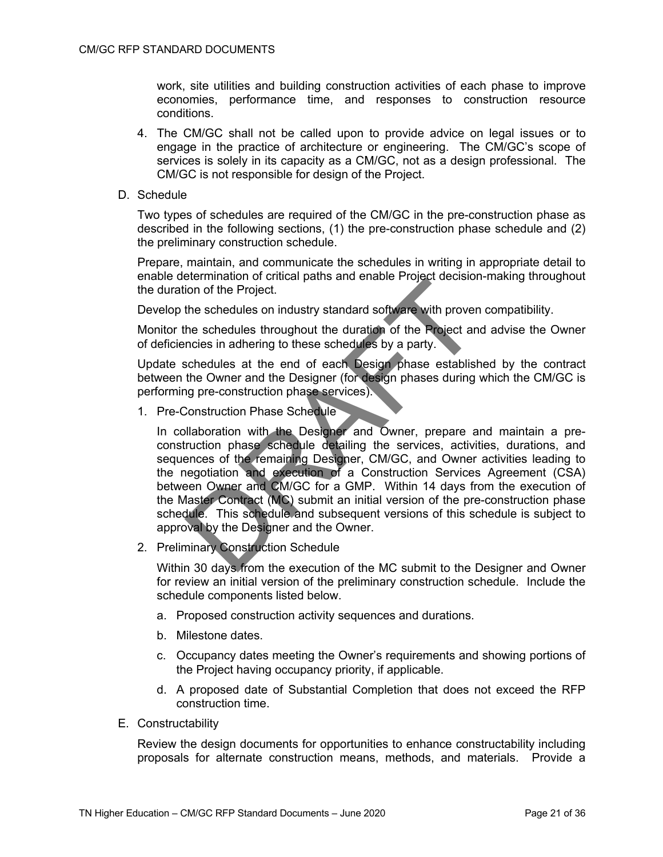work, site utilities and building construction activities of each phase to improve economies, performance time, and responses to construction resource conditions.

- 4. The CM/GC shall not be called upon to provide advice on legal issues or to engage in the practice of architecture or engineering. The CM/GC's scope of services is solely in its capacity as a CM/GC, not as a design professional. The CM/GC is not responsible for design of the Project.
- D. Schedule

Two types of schedules are required of the CM/GC in the pre-construction phase as described in the following sections, (1) the pre-construction phase schedule and (2) the preliminary construction schedule.

Prepare, maintain, and communicate the schedules in writing in appropriate detail to enable determination of critical paths and enable Project decision-making throughout the duration of the Project.

Develop the schedules on industry standard software with proven compatibility.

Monitor the schedules throughout the duration of the Project and advise the Owner of deficiencies in adhering to these schedules by a party.

Update schedules at the end of each Design phase established by the contract between the Owner and the Designer (for design phases during which the CM/GC is performing pre-construction phase services).

1. Pre-Construction Phase Schedule

In collaboration with the Designer and Owner, prepare and maintain a preconstruction phase schedule detailing the services, activities, durations, and sequences of the remaining Designer, CM/GC, and Owner activities leading to the negotiation and execution of a Construction Services Agreement (CSA) between Owner and CM/GC for a GMP. Within 14 days from the execution of the Master Contract (MC) submit an initial version of the pre-construction phase schedule. This schedule and subsequent versions of this schedule is subject to approval by the Designer and the Owner.

2. Preliminary Construction Schedule

Within 30 days from the execution of the MC submit to the Designer and Owner for review an initial version of the preliminary construction schedule. Include the schedule components listed below.

- a. Proposed construction activity sequences and durations.
- b. Milestone dates.
- c. Occupancy dates meeting the Owner's requirements and showing portions of the Project having occupancy priority, if applicable.
- d. A proposed date of Substantial Completion that does not exceed the RFP construction time.
- E. Constructability

Review the design documents for opportunities to enhance constructability including proposals for alternate construction means, methods, and materials. Provide a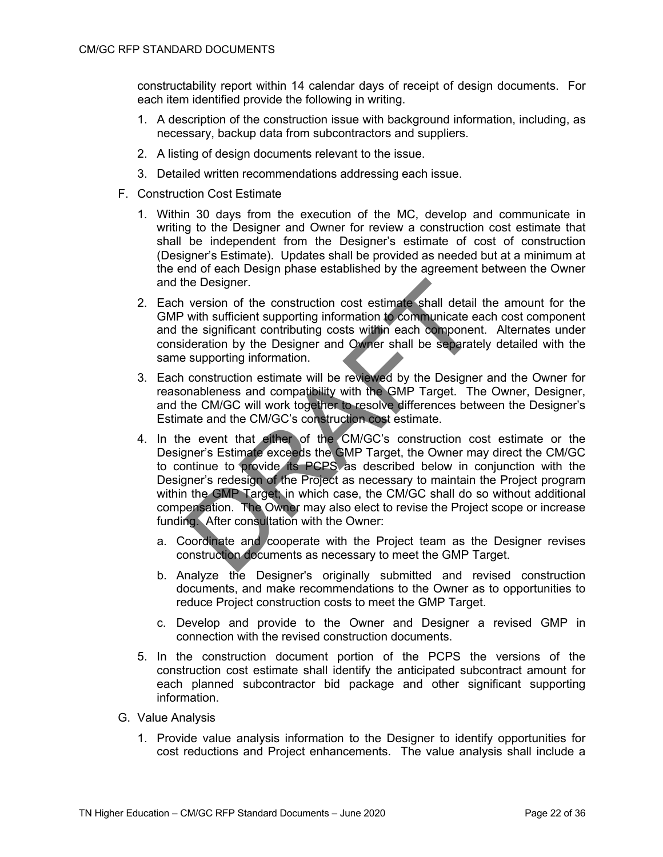constructability report within 14 calendar days of receipt of design documents. For each item identified provide the following in writing.

- 1. A description of the construction issue with background information, including, as necessary, backup data from subcontractors and suppliers.
- 2. A listing of design documents relevant to the issue.
- 3. Detailed written recommendations addressing each issue.
- F. Construction Cost Estimate
	- 1. Within 30 days from the execution of the MC, develop and communicate in writing to the Designer and Owner for review a construction cost estimate that shall be independent from the Designer's estimate of cost of construction (Designer's Estimate). Updates shall be provided as needed but at a minimum at the end of each Design phase established by the agreement between the Owner and the Designer.
	- 2. Each version of the construction cost estimate shall detail the amount for the GMP with sufficient supporting information to communicate each cost component and the significant contributing costs within each component. Alternates under consideration by the Designer and Owner shall be separately detailed with the same supporting information.
	- 3. Each construction estimate will be reviewed by the Designer and the Owner for reasonableness and compatibility with the GMP Target. The Owner, Designer, and the CM/GC will work together to resolve differences between the Designer's Estimate and the CM/GC's construction cost estimate.
	- 4. In the event that either of the CM/GC's construction cost estimate or the Designer's Estimate exceeds the GMP Target, the Owner may direct the CM/GC to continue to provide its PCPS as described below in conjunction with the Designer's redesign of the Project as necessary to maintain the Project program within the GMP Target; in which case, the CM/GC shall do so without additional compensation. The Owner may also elect to revise the Project scope or increase funding. After consultation with the Owner:
		- a. Coordinate and cooperate with the Project team as the Designer revises construction documents as necessary to meet the GMP Target.
		- b. Analyze the Designer's originally submitted and revised construction documents, and make recommendations to the Owner as to opportunities to reduce Project construction costs to meet the GMP Target.
		- c. Develop and provide to the Owner and Designer a revised GMP in connection with the revised construction documents.
	- 5. In the construction document portion of the PCPS the versions of the construction cost estimate shall identify the anticipated subcontract amount for each planned subcontractor bid package and other significant supporting information.
- G. Value Analysis
	- 1. Provide value analysis information to the Designer to identify opportunities for cost reductions and Project enhancements. The value analysis shall include a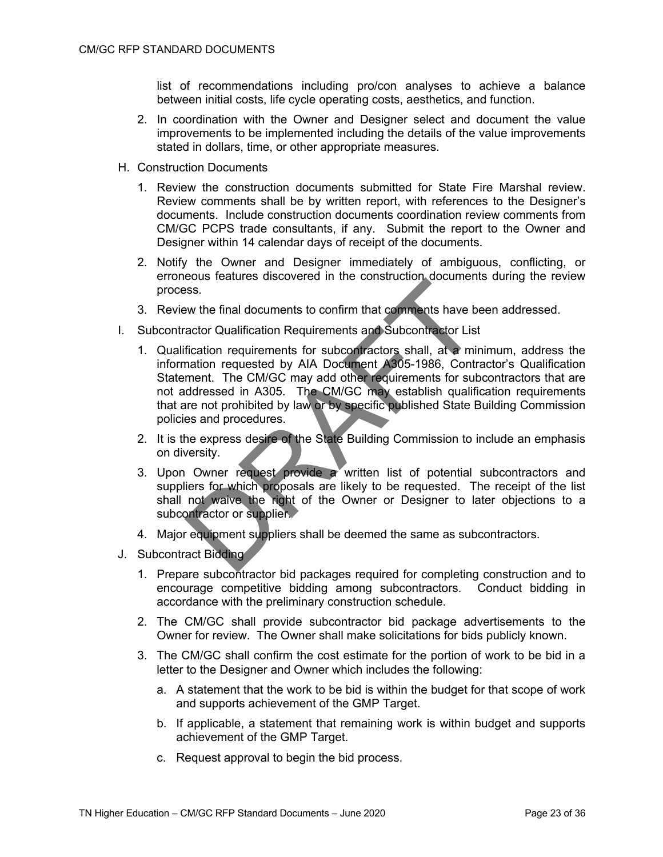list of recommendations including pro/con analyses to achieve a balance between initial costs, life cycle operating costs, aesthetics, and function.

- 2. In coordination with the Owner and Designer select and document the value improvements to be implemented including the details of the value improvements stated in dollars, time, or other appropriate measures.
- H. Construction Documents
	- 1. Review the construction documents submitted for State Fire Marshal review. Review comments shall be by written report, with references to the Designer's documents. Include construction documents coordination review comments from CM/GC PCPS trade consultants, if any. Submit the report to the Owner and Designer within 14 calendar days of receipt of the documents.
	- 2. Notify the Owner and Designer immediately of ambiguous, conflicting, or erroneous features discovered in the construction documents during the review process.
	- 3. Review the final documents to confirm that comments have been addressed.
- I. Subcontractor Qualification Requirements and Subcontractor List
	- 1. Qualification requirements for subcontractors shall, at a minimum, address the information requested by AIA Document A305-1986, Contractor's Qualification Statement. The CM/GC may add other requirements for subcontractors that are not addressed in A305. The CM/GC may establish qualification requirements that are not prohibited by law or by specific published State Building Commission policies and procedures.
	- 2. It is the express desire of the State Building Commission to include an emphasis on diversity.
	- 3. Upon Owner request provide a written list of potential subcontractors and suppliers for which proposals are likely to be requested. The receipt of the list shall not waive the right of the Owner or Designer to later objections to a subcontractor or supplier.
	- 4. Major equipment suppliers shall be deemed the same as subcontractors.
- J. Subcontract Bidding
	- 1. Prepare subcontractor bid packages required for completing construction and to encourage competitive bidding among subcontractors. Conduct bidding in accordance with the preliminary construction schedule.
	- 2. The CM/GC shall provide subcontractor bid package advertisements to the Owner for review. The Owner shall make solicitations for bids publicly known.
	- 3. The CM/GC shall confirm the cost estimate for the portion of work to be bid in a letter to the Designer and Owner which includes the following:
		- a. A statement that the work to be bid is within the budget for that scope of work and supports achievement of the GMP Target.
		- b. If applicable, a statement that remaining work is within budget and supports achievement of the GMP Target.
		- c. Request approval to begin the bid process.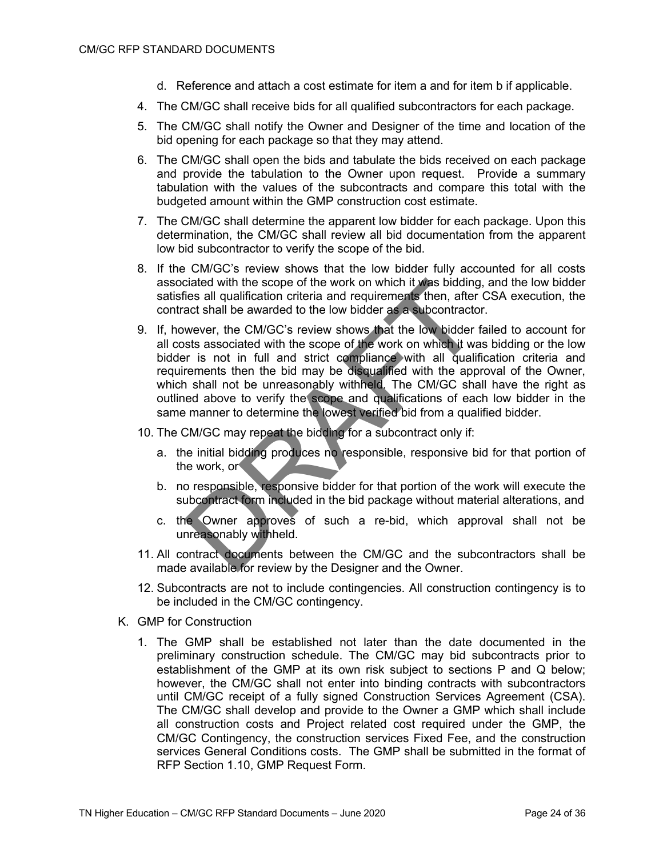- d. Reference and attach a cost estimate for item a and for item b if applicable.
- 4. The CM/GC shall receive bids for all qualified subcontractors for each package.
- 5. The CM/GC shall notify the Owner and Designer of the time and location of the bid opening for each package so that they may attend.
- 6. The CM/GC shall open the bids and tabulate the bids received on each package and provide the tabulation to the Owner upon request. Provide a summary tabulation with the values of the subcontracts and compare this total with the budgeted amount within the GMP construction cost estimate.
- 7. The CM/GC shall determine the apparent low bidder for each package. Upon this determination, the CM/GC shall review all bid documentation from the apparent low bid subcontractor to verify the scope of the bid.
- 8. If the CM/GC's review shows that the low bidder fully accounted for all costs associated with the scope of the work on which it was bidding, and the low bidder satisfies all qualification criteria and requirements then, after CSA execution, the contract shall be awarded to the low bidder as a subcontractor.
- 9. If, however, the CM/GC's review shows that the low bidder failed to account for all costs associated with the scope of the work on which it was bidding or the low bidder is not in full and strict compliance with all qualification criteria and requirements then the bid may be disqualified with the approval of the Owner, which shall not be unreasonably withheld. The CM/GC shall have the right as outlined above to verify the scope and qualifications of each low bidder in the same manner to determine the lowest verified bid from a qualified bidder.
- 10. The CM/GC may repeat the bidding for a subcontract only if:
	- a. the initial bidding produces no responsible, responsive bid for that portion of the work, or
	- b. no responsible, responsive bidder for that portion of the work will execute the subcontract form included in the bid package without material alterations, and
	- c. the Owner approves of such a re-bid, which approval shall not be unreasonably withheld.
- 11. All contract documents between the CM/GC and the subcontractors shall be made available for review by the Designer and the Owner.
- 12. Subcontracts are not to include contingencies. All construction contingency is to be included in the CM/GC contingency.
- K. GMP for Construction
	- 1. The GMP shall be established not later than the date documented in the preliminary construction schedule. The CM/GC may bid subcontracts prior to establishment of the GMP at its own risk subject to sections P and Q below; however, the CM/GC shall not enter into binding contracts with subcontractors until CM/GC receipt of a fully signed Construction Services Agreement (CSA). The CM/GC shall develop and provide to the Owner a GMP which shall include all construction costs and Project related cost required under the GMP, the CM/GC Contingency, the construction services Fixed Fee, and the construction services General Conditions costs. The GMP shall be submitted in the format of RFP Section 1.10, GMP Request Form.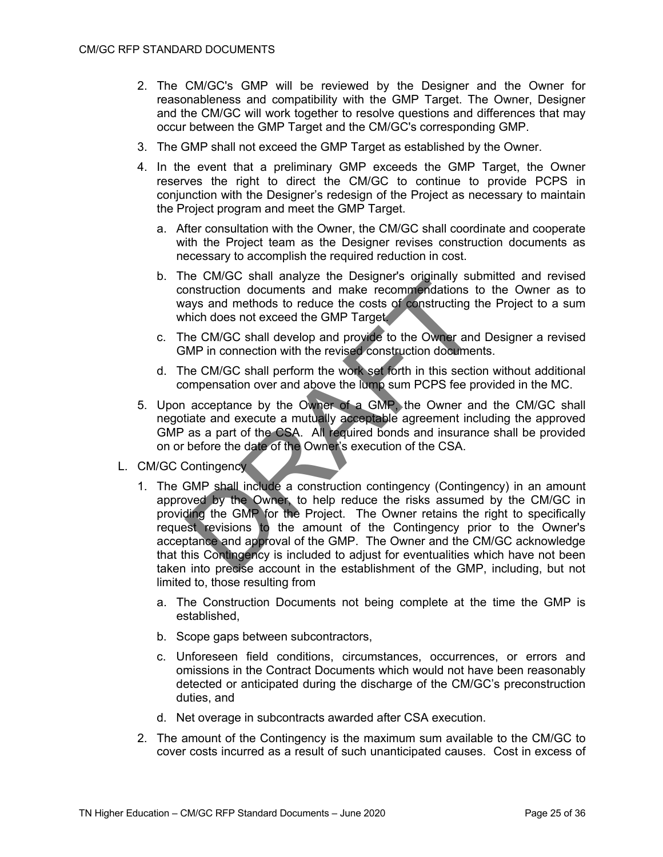- 2. The CM/GC's GMP will be reviewed by the Designer and the Owner for reasonableness and compatibility with the GMP Target. The Owner, Designer and the CM/GC will work together to resolve questions and differences that may occur between the GMP Target and the CM/GC's corresponding GMP.
- 3. The GMP shall not exceed the GMP Target as established by the Owner.
- 4. In the event that a preliminary GMP exceeds the GMP Target, the Owner reserves the right to direct the CM/GC to continue to provide PCPS in conjunction with the Designer's redesign of the Project as necessary to maintain the Project program and meet the GMP Target.
	- a. After consultation with the Owner, the CM/GC shall coordinate and cooperate with the Project team as the Designer revises construction documents as necessary to accomplish the required reduction in cost.
	- b. The CM/GC shall analyze the Designer's originally submitted and revised construction documents and make recommendations to the Owner as to ways and methods to reduce the costs of constructing the Project to a sum which does not exceed the GMP Target.
	- c. The CM/GC shall develop and provide to the Owner and Designer a revised GMP in connection with the revised construction documents.
	- d. The CM/GC shall perform the work set forth in this section without additional compensation over and above the lump sum PCPS fee provided in the MC.
- 5. Upon acceptance by the Owner of a GMP, the Owner and the CM/GC shall negotiate and execute a mutually acceptable agreement including the approved GMP as a part of the CSA. All required bonds and insurance shall be provided on or before the date of the Owner's execution of the CSA.
- L. CM/GC Contingency
	- 1. The GMP shall include a construction contingency (Contingency) in an amount approved by the Owner, to help reduce the risks assumed by the CM/GC in providing the GMP for the Project. The Owner retains the right to specifically request revisions to the amount of the Contingency prior to the Owner's acceptance and approval of the GMP. The Owner and the CM/GC acknowledge that this Contingency is included to adjust for eventualities which have not been taken into precise account in the establishment of the GMP, including, but not limited to, those resulting from
		- a. The Construction Documents not being complete at the time the GMP is established,
		- b. Scope gaps between subcontractors,
		- c. Unforeseen field conditions, circumstances, occurrences, or errors and omissions in the Contract Documents which would not have been reasonably detected or anticipated during the discharge of the CM/GC's preconstruction duties, and
		- d. Net overage in subcontracts awarded after CSA execution.
	- 2. The amount of the Contingency is the maximum sum available to the CM/GC to cover costs incurred as a result of such unanticipated causes. Cost in excess of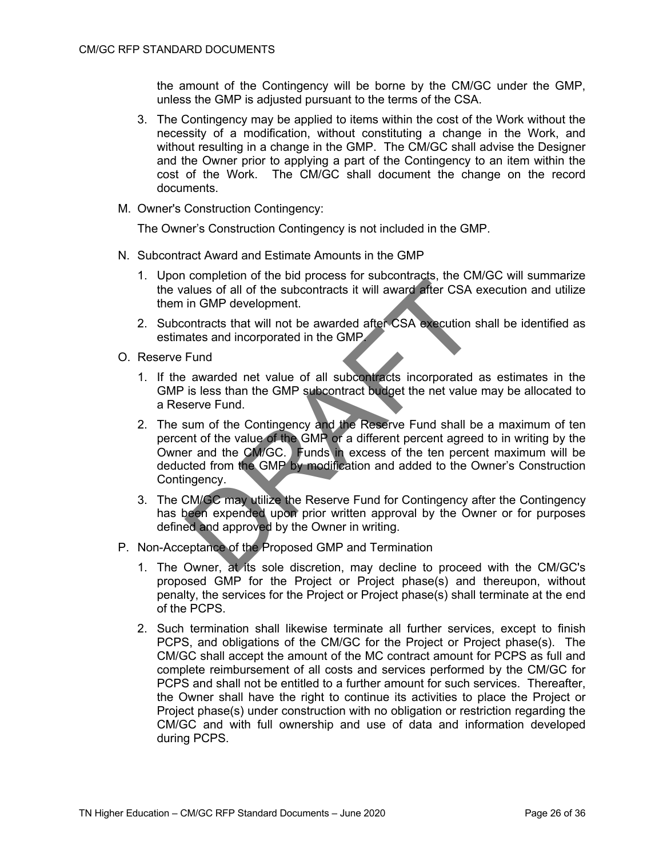the amount of the Contingency will be borne by the CM/GC under the GMP, unless the GMP is adjusted pursuant to the terms of the CSA.

- 3. The Contingency may be applied to items within the cost of the Work without the necessity of a modification, without constituting a change in the Work, and without resulting in a change in the GMP. The CM/GC shall advise the Designer and the Owner prior to applying a part of the Contingency to an item within the cost of the Work. The CM/GC shall document the change on the record documents.
- M. Owner's Construction Contingency:

The Owner's Construction Contingency is not included in the GMP.

- N. Subcontract Award and Estimate Amounts in the GMP
	- 1. Upon completion of the bid process for subcontracts, the CM/GC will summarize the values of all of the subcontracts it will award after CSA execution and utilize them in GMP development.
	- 2. Subcontracts that will not be awarded after CSA execution shall be identified as estimates and incorporated in the GMP.
- O. Reserve Fund
	- 1. If the awarded net value of all subcontracts incorporated as estimates in the GMP is less than the GMP subcontract budget the net value may be allocated to a Reserve Fund.
	- 2. The sum of the Contingency and the Reserve Fund shall be a maximum of ten percent of the value of the GMP or a different percent agreed to in writing by the Owner and the CM/GC. Funds in excess of the ten percent maximum will be deducted from the GMP by modification and added to the Owner's Construction Contingency.
	- 3. The CM/GC may utilize the Reserve Fund for Contingency after the Contingency has been expended upon prior written approval by the Owner or for purposes defined and approved by the Owner in writing.
- P. Non-Acceptance of the Proposed GMP and Termination
	- 1. The Owner, at its sole discretion, may decline to proceed with the CM/GC's proposed GMP for the Project or Project phase(s) and thereupon, without penalty, the services for the Project or Project phase(s) shall terminate at the end of the PCPS.
	- 2. Such termination shall likewise terminate all further services, except to finish PCPS, and obligations of the CM/GC for the Project or Project phase(s). The CM/GC shall accept the amount of the MC contract amount for PCPS as full and complete reimbursement of all costs and services performed by the CM/GC for PCPS and shall not be entitled to a further amount for such services. Thereafter, the Owner shall have the right to continue its activities to place the Project or Project phase(s) under construction with no obligation or restriction regarding the CM/GC and with full ownership and use of data and information developed during PCPS.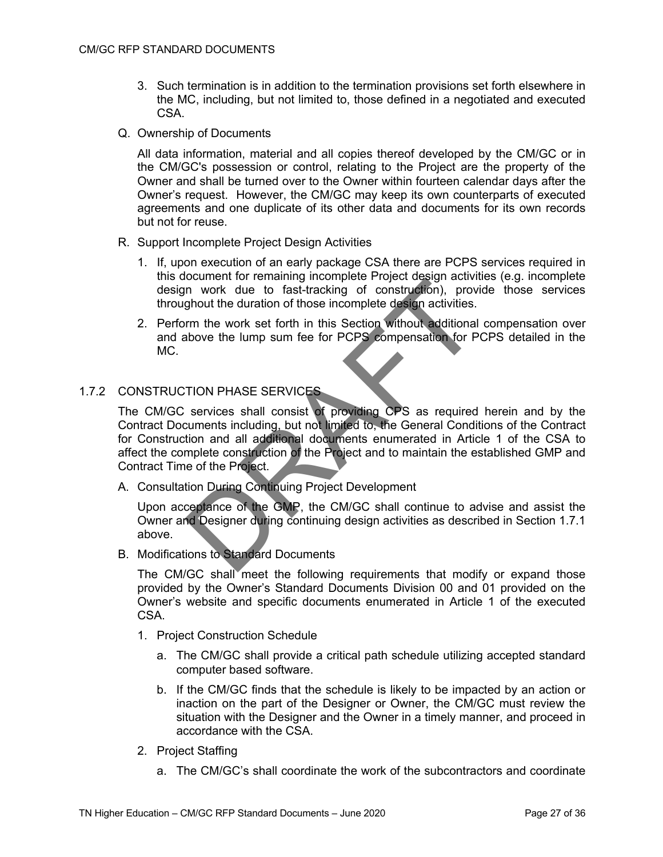- 3. Such termination is in addition to the termination provisions set forth elsewhere in the MC, including, but not limited to, those defined in a negotiated and executed CSA.
- Q. Ownership of Documents

All data information, material and all copies thereof developed by the CM/GC or in the CM/GC's possession or control, relating to the Project are the property of the Owner and shall be turned over to the Owner within fourteen calendar days after the Owner's request. However, the CM/GC may keep its own counterparts of executed agreements and one duplicate of its other data and documents for its own records but not for reuse.

- R. Support Incomplete Project Design Activities
	- 1. If, upon execution of an early package CSA there are PCPS services required in this document for remaining incomplete Project design activities (e.g. incomplete design work due to fast-tracking of construction), provide those services throughout the duration of those incomplete design activities.
	- 2. Perform the work set forth in this Section without additional compensation over and above the lump sum fee for PCPS compensation for PCPS detailed in the MC.

### 1.7.2 CONSTRUCTION PHASE SERVICES

The CM/GC services shall consist of providing CPS as required herein and by the Contract Documents including, but not limited to, the General Conditions of the Contract for Construction and all additional documents enumerated in Article 1 of the CSA to affect the complete construction of the Project and to maintain the established GMP and Contract Time of the Project.

A. Consultation During Continuing Project Development

Upon acceptance of the GMP, the CM/GC shall continue to advise and assist the Owner and Designer during continuing design activities as described in Section 1.7.1 above.

B. Modifications to Standard Documents

The CM/GC shall meet the following requirements that modify or expand those provided by the Owner's Standard Documents Division 00 and 01 provided on the Owner's website and specific documents enumerated in Article 1 of the executed **CSA** 

- 1. Project Construction Schedule
	- a. The CM/GC shall provide a critical path schedule utilizing accepted standard computer based software.
	- b. If the CM/GC finds that the schedule is likely to be impacted by an action or inaction on the part of the Designer or Owner, the CM/GC must review the situation with the Designer and the Owner in a timely manner, and proceed in accordance with the CSA.
- 2. Project Staffing
	- a. The CM/GC's shall coordinate the work of the subcontractors and coordinate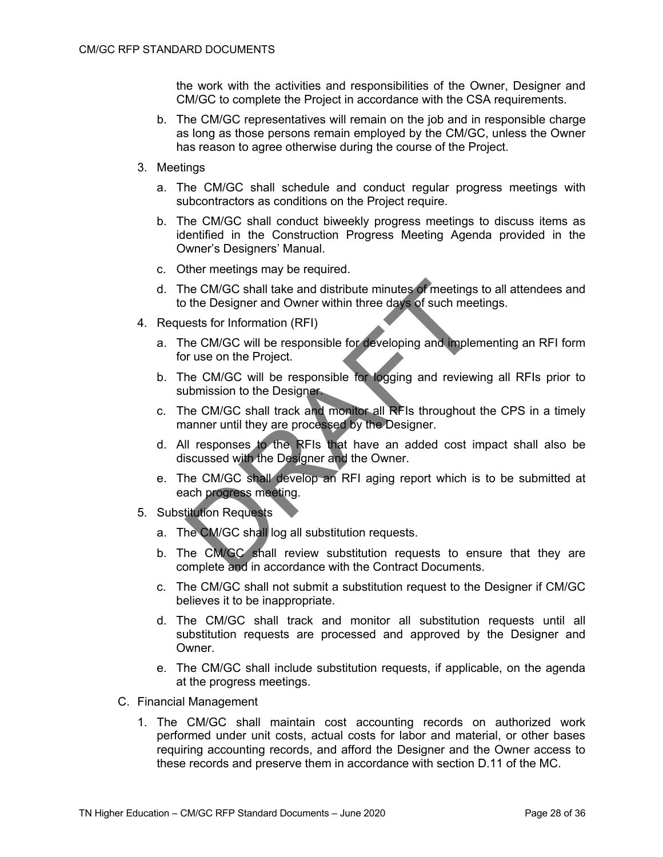the work with the activities and responsibilities of the Owner, Designer and CM/GC to complete the Project in accordance with the CSA requirements.

- b. The CM/GC representatives will remain on the job and in responsible charge as long as those persons remain employed by the CM/GC, unless the Owner has reason to agree otherwise during the course of the Project.
- 3. Meetings
	- a. The CM/GC shall schedule and conduct regular progress meetings with subcontractors as conditions on the Project require.
	- b. The CM/GC shall conduct biweekly progress meetings to discuss items as identified in the Construction Progress Meeting Agenda provided in the Owner's Designers' Manual.
	- c. Other meetings may be required.
	- d. The CM/GC shall take and distribute minutes of meetings to all attendees and to the Designer and Owner within three days of such meetings.
- 4. Requests for Information (RFI)
	- a. The CM/GC will be responsible for developing and implementing an RFI form for use on the Project.
	- b. The CM/GC will be responsible for logging and reviewing all RFIs prior to submission to the Designer.
	- c. The CM/GC shall track and monitor all RFIs throughout the CPS in a timely manner until they are processed by the Designer.
	- d. All responses to the RFIs that have an added cost impact shall also be discussed with the Designer and the Owner.
	- e. The CM/GC shall develop an RFI aging report which is to be submitted at each progress meeting.
- 5. Substitution Requests
	- a. The CM/GC shall log all substitution requests.
	- b. The CM/GC shall review substitution requests to ensure that they are complete and in accordance with the Contract Documents.
	- c. The CM/GC shall not submit a substitution request to the Designer if CM/GC believes it to be inappropriate.
	- d. The CM/GC shall track and monitor all substitution requests until all substitution requests are processed and approved by the Designer and Owner.
	- e. The CM/GC shall include substitution requests, if applicable, on the agenda at the progress meetings.
- C. Financial Management
	- 1. The CM/GC shall maintain cost accounting records on authorized work performed under unit costs, actual costs for labor and material, or other bases requiring accounting records, and afford the Designer and the Owner access to these records and preserve them in accordance with section D.11 of the MC.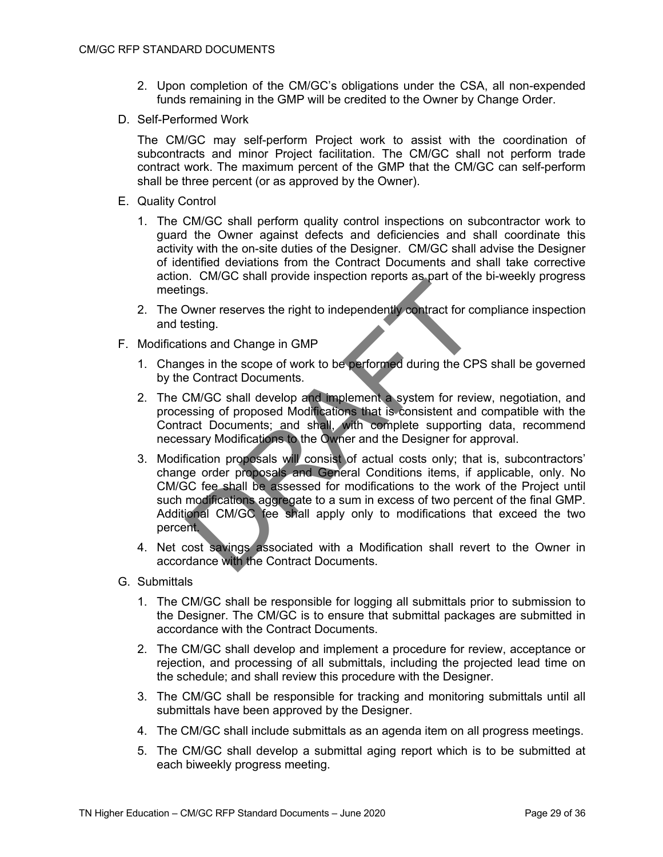- 2. Upon completion of the CM/GC's obligations under the CSA, all non-expended funds remaining in the GMP will be credited to the Owner by Change Order.
- D. Self-Performed Work

The CM/GC may self-perform Project work to assist with the coordination of subcontracts and minor Project facilitation. The CM/GC shall not perform trade contract work. The maximum percent of the GMP that the CM/GC can self-perform shall be three percent (or as approved by the Owner).

- E. Quality Control
	- 1. The CM/GC shall perform quality control inspections on subcontractor work to guard the Owner against defects and deficiencies and shall coordinate this activity with the on-site duties of the Designer. CM/GC shall advise the Designer of identified deviations from the Contract Documents and shall take corrective action. CM/GC shall provide inspection reports as part of the bi-weekly progress meetings.
	- 2. The Owner reserves the right to independently contract for compliance inspection and testing.
- F. Modifications and Change in GMP
	- 1. Changes in the scope of work to be performed during the CPS shall be governed by the Contract Documents.
	- 2. The CM/GC shall develop and implement a system for review, negotiation, and processing of proposed Modifications that is consistent and compatible with the Contract Documents; and shall, with complete supporting data, recommend necessary Modifications to the Owner and the Designer for approval.
	- 3. Modification proposals will consist of actual costs only; that is, subcontractors' change order proposals and General Conditions items, if applicable, only. No CM/GC fee shall be assessed for modifications to the work of the Project until such modifications aggregate to a sum in excess of two percent of the final GMP. Additional CM/GC fee shall apply only to modifications that exceed the two percent.
	- 4. Net cost savings associated with a Modification shall revert to the Owner in accordance with the Contract Documents.
- G. Submittals
	- 1. The CM/GC shall be responsible for logging all submittals prior to submission to the Designer. The CM/GC is to ensure that submittal packages are submitted in accordance with the Contract Documents.
	- 2. The CM/GC shall develop and implement a procedure for review, acceptance or rejection, and processing of all submittals, including the projected lead time on the schedule; and shall review this procedure with the Designer.
	- 3. The CM/GC shall be responsible for tracking and monitoring submittals until all submittals have been approved by the Designer.
	- 4. The CM/GC shall include submittals as an agenda item on all progress meetings.
	- 5. The CM/GC shall develop a submittal aging report which is to be submitted at each biweekly progress meeting.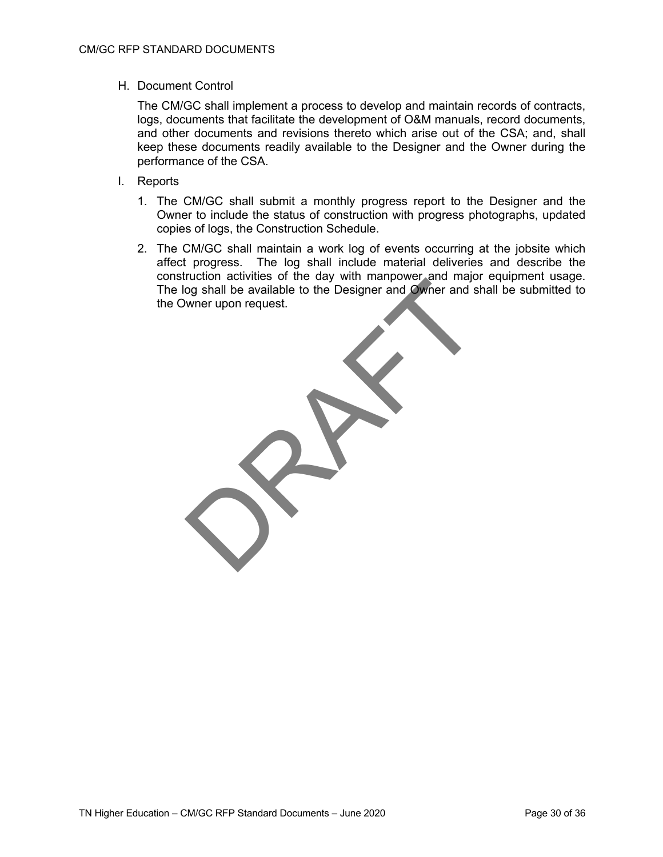### H. Document Control

The CM/GC shall implement a process to develop and maintain records of contracts, logs, documents that facilitate the development of O&M manuals, record documents, and other documents and revisions thereto which arise out of the CSA; and, shall keep these documents readily available to the Designer and the Owner during the performance of the CSA.

- I. Reports
	- 1. The CM/GC shall submit a monthly progress report to the Designer and the Owner to include the status of construction with progress photographs, updated copies of logs, the Construction Schedule.
	- 2. The CM/GC shall maintain a work log of events occurring at the jobsite which affect progress. The log shall include material deliveries and describe the construction activities of the day with manpower and major equipment usage. The log shall be available to the Designer and Owner and shall be submitted to the Owner upon request.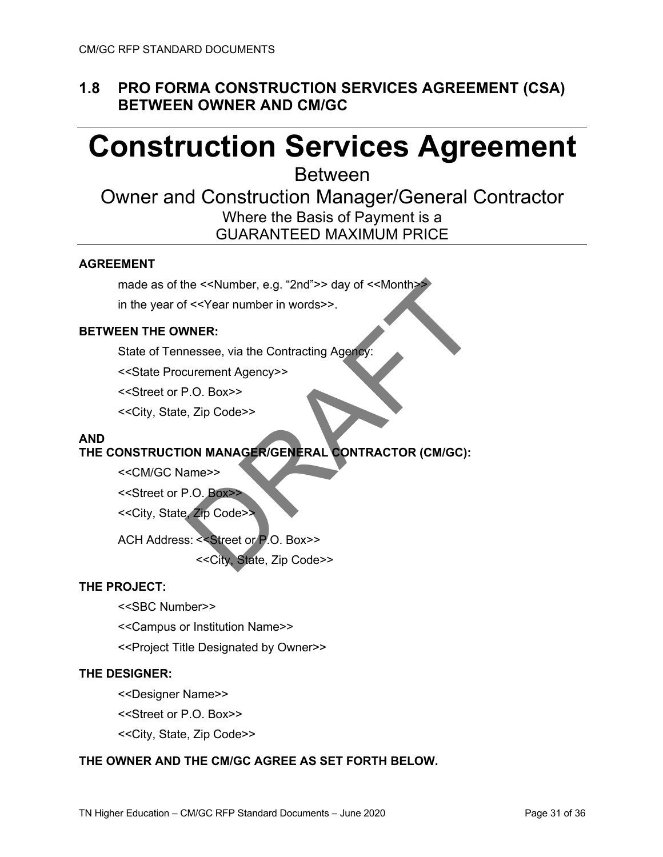## **1.8 PRO FORMA CONSTRUCTION SERVICES AGREEMENT (CSA) BETWEEN OWNER AND CM/GC**

# **Construction Services Agreement**

Between

## Owner and Construction Manager/General Contractor Where the Basis of Payment is a GUARANTEED MAXIMUM PRICE

### **AGREEMENT**

made as of the << Number, e.g. "2nd">> day of << Month<> in the year of <<Year number in words>>.

### **BETWEEN THE OWNER:**

State of Tennessee, via the Contracting Agency:

<<State Procurement Agency>>

<<Street or P.O. Box>>

<<City, State, Zip Code>>

### **AND**

### **THE CONSTRUCTION MANAGER/GENERAL CONTRACTOR (CM/GC):**

<<CM/GC Name>>

<<Street or P.O. Box>>

<<City, State, Zip Code>>

ACH Address: <<Street or P.O. Box>>

<<City, State, Zip Code>>

### **THE PROJECT:**

<<SBC Number>>

<<Campus or Institution Name>>

<<Project Title Designated by Owner>>

### **THE DESIGNER:**

<<Designer Name>>

<<Street or P.O. Box>>

<<City, State, Zip Code>>

### **THE OWNER AND THE CM/GC AGREE AS SET FORTH BELOW.**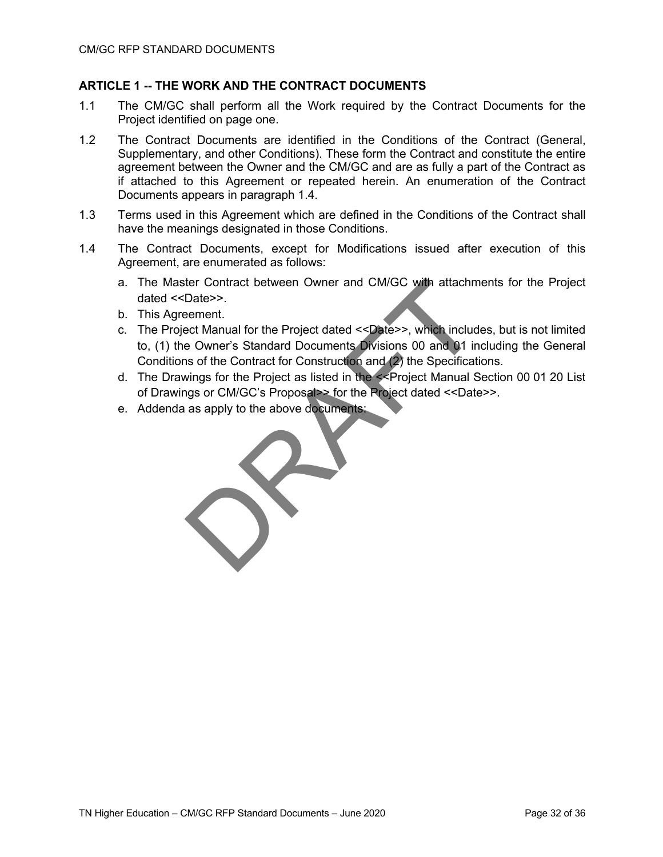### **ARTICLE 1 -- THE WORK AND THE CONTRACT DOCUMENTS**

- 1.1 The CM/GC shall perform all the Work required by the Contract Documents for the Project identified on page one.
- 1.2 The Contract Documents are identified in the Conditions of the Contract (General, Supplementary, and other Conditions). These form the Contract and constitute the entire agreement between the Owner and the CM/GC and are as fully a part of the Contract as if attached to this Agreement or repeated herein. An enumeration of the Contract Documents appears in paragraph 1.4.
- 1.3 Terms used in this Agreement which are defined in the Conditions of the Contract shall have the meanings designated in those Conditions.
- 1.4 The Contract Documents, except for Modifications issued after execution of this Agreement, are enumerated as follows:
	- a. The Master Contract between Owner and CM/GC with attachments for the Project dated <<Date>>.
	- b. This Agreement.
	- c. The Project Manual for the Project dated <<Date>>, which includes, but is not limited to, (1) the Owner's Standard Documents Divisions 00 and 01 including the General Conditions of the Contract for Construction and (2) the Specifications.
	- d. The Drawings for the Project as listed in the <<Project Manual Section 00 01 20 List of Drawings or CM/GC's Proposal>> for the Project dated <<Date>>.
	- e. Addenda as apply to the above documents: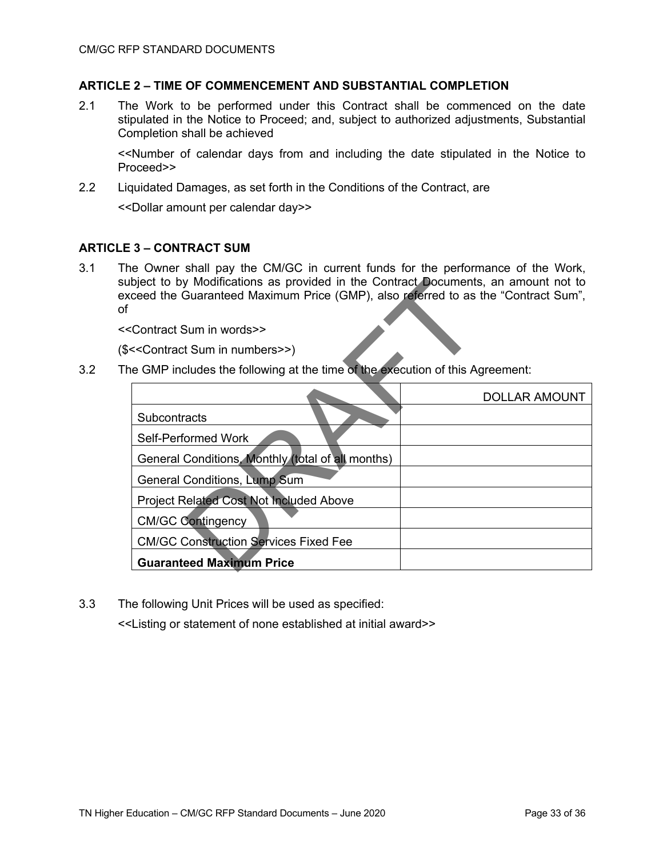### **ARTICLE 2 – TIME OF COMMENCEMENT AND SUBSTANTIAL COMPLETION**

2.1 The Work to be performed under this Contract shall be commenced on the date stipulated in the Notice to Proceed; and, subject to authorized adjustments, Substantial Completion shall be achieved

<<Number of calendar days from and including the date stipulated in the Notice to Proceed>>

2.2 Liquidated Damages, as set forth in the Conditions of the Contract, are

<<Dollar amount per calendar day>>

### **ARTICLE 3 – CONTRACT SUM**

3.1 The Owner shall pay the CM/GC in current funds for the performance of the Work, subject to by Modifications as provided in the Contract Documents, an amount not to exceed the Guaranteed Maximum Price (GMP), also referred to as the "Contract Sum", of

<<Contract Sum in words>>

(\$<<Contract Sum in numbers>>)

3.2 The GMP includes the following at the time of the execution of this Agreement:

|                                                   | <b>DOLLAR AMOUNT</b> |
|---------------------------------------------------|----------------------|
| <b>Subcontracts</b>                               |                      |
| Self-Performed Work                               |                      |
| General Conditions, Monthly (total of all months) |                      |
| General Conditions, Lump Sum                      |                      |
| Project Related Cost Not Included Above           |                      |
| <b>CM/GC Contingency</b>                          |                      |
| <b>CM/GC Construction Services Fixed Fee</b>      |                      |
| <b>Guaranteed Maximum Price</b>                   |                      |

3.3 The following Unit Prices will be used as specified:

<<Listing or statement of none established at initial award>>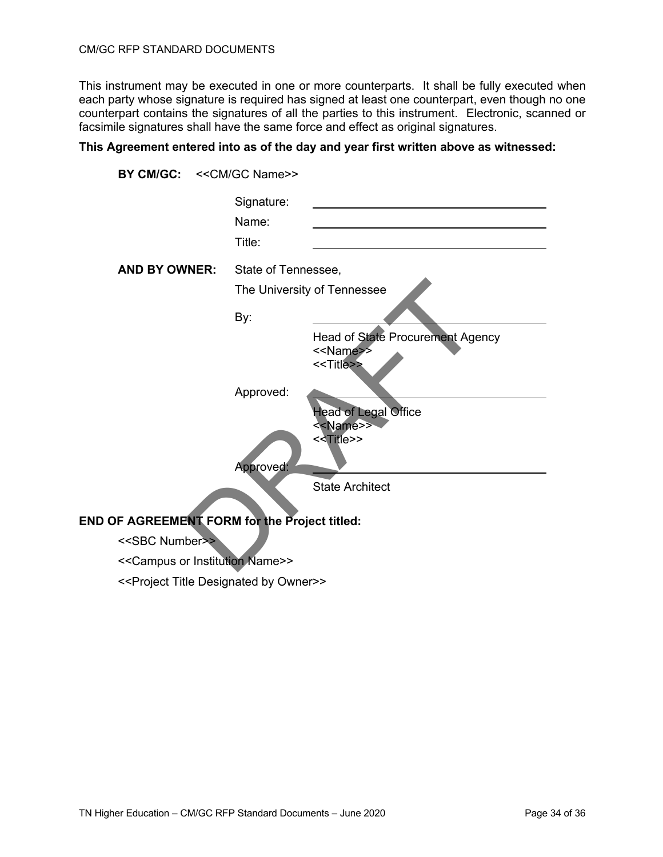This instrument may be executed in one or more counterparts. It shall be fully executed when each party whose signature is required has signed at least one counterpart, even though no one counterpart contains the signatures of all the parties to this instrument. Electronic, scanned or facsimile signatures shall have the same force and effect as original signatures.

### **This Agreement entered into as of the day and year first written above as witnessed:**

| BY CM/GC: << CM/GC Name>> |                               |                                                                                     |
|---------------------------|-------------------------------|-------------------------------------------------------------------------------------|
|                           | Signature:<br>Name:<br>Title: |                                                                                     |
| <b>AND BY OWNER:</b>      | State of Tennessee,           |                                                                                     |
|                           |                               | The University of Tennessee                                                         |
|                           | By:                           |                                                                                     |
|                           |                               | Head of State Procurement Agency<br>< <name>&gt;<br/>&lt;<title>&gt;</title></name> |
|                           | Approved:                     |                                                                                     |
|                           |                               | <b>Head of Legal Office</b><br>< <name>&gt;<br/>&lt;<title>&gt;</title></name>      |
|                           | Approved:                     |                                                                                     |
|                           |                               | <b>State Architect</b>                                                              |

### **END OF AGREEMENT FORM for the Project titled:**

- <<SBC Number>>
- <<Campus or Institution Name>>
- <<Project Title Designated by Owner>>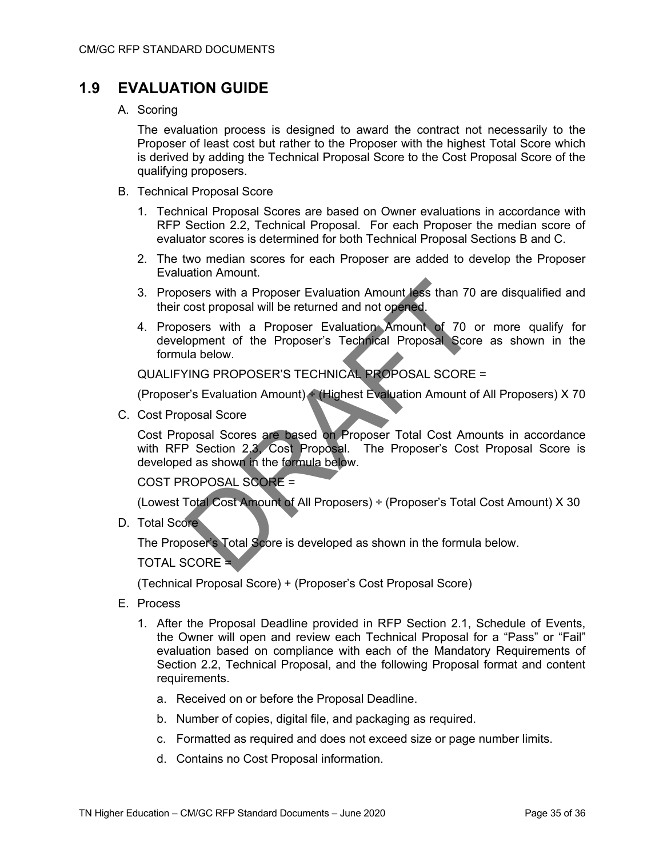## **1.9 EVALUATION GUIDE**

A. Scoring

The evaluation process is designed to award the contract not necessarily to the Proposer of least cost but rather to the Proposer with the highest Total Score which is derived by adding the Technical Proposal Score to the Cost Proposal Score of the qualifying proposers.

- B. Technical Proposal Score
	- 1. Technical Proposal Scores are based on Owner evaluations in accordance with RFP Section 2.2, Technical Proposal. For each Proposer the median score of evaluator scores is determined for both Technical Proposal Sections B and C.
	- 2. The two median scores for each Proposer are added to develop the Proposer Evaluation Amount.
	- 3. Proposers with a Proposer Evaluation Amount less than 70 are disqualified and their cost proposal will be returned and not opened.
	- 4. Proposers with a Proposer Evaluation Amount of 70 or more qualify for development of the Proposer's Technical Proposal Score as shown in the formula below.

QUALIFYING PROPOSER'S TECHNICAL PROPOSAL SCORE =

(Proposer's Evaluation Amount) ÷ (Highest Evaluation Amount of All Proposers) X 70

C. Cost Proposal Score

Cost Proposal Scores are based on Proposer Total Cost Amounts in accordance with RFP Section 2.3, Cost Proposal. The Proposer's Cost Proposal Score is developed as shown in the formula below.

COST PROPOSAL SCORE =

(Lowest Total Cost Amount of All Proposers) ÷ (Proposer's Total Cost Amount) X 30

D. Total Score

The Proposer's Total Score is developed as shown in the formula below.

TOTAL SCORE =

(Technical Proposal Score) + (Proposer's Cost Proposal Score)

- E. Process
	- 1. After the Proposal Deadline provided in RFP Section 2.1, Schedule of Events, the Owner will open and review each Technical Proposal for a "Pass" or "Fail" evaluation based on compliance with each of the Mandatory Requirements of Section 2.2, Technical Proposal, and the following Proposal format and content requirements.
		- a. Received on or before the Proposal Deadline.
		- b. Number of copies, digital file, and packaging as required.
		- c. Formatted as required and does not exceed size or page number limits.
		- d. Contains no Cost Proposal information.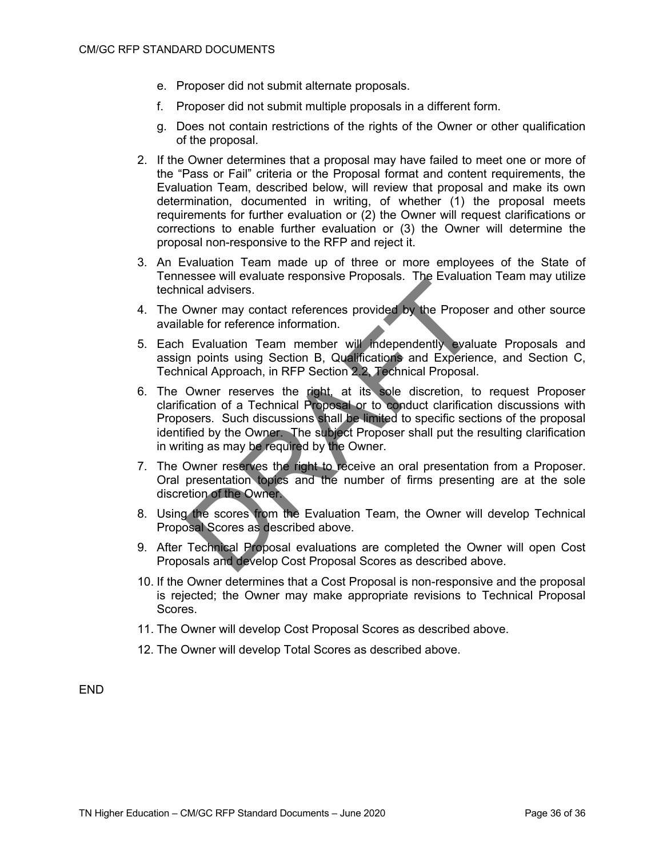- e. Proposer did not submit alternate proposals.
- f. Proposer did not submit multiple proposals in a different form.
- g. Does not contain restrictions of the rights of the Owner or other qualification of the proposal.
- 2. If the Owner determines that a proposal may have failed to meet one or more of the "Pass or Fail" criteria or the Proposal format and content requirements, the Evaluation Team, described below, will review that proposal and make its own determination, documented in writing, of whether (1) the proposal meets requirements for further evaluation or (2) the Owner will request clarifications or corrections to enable further evaluation or (3) the Owner will determine the proposal non-responsive to the RFP and reject it.
- 3. An Evaluation Team made up of three or more employees of the State of Tennessee will evaluate responsive Proposals. The Evaluation Team may utilize technical advisers.
- 4. The Owner may contact references provided by the Proposer and other source available for reference information.
- 5. Each Evaluation Team member will independently evaluate Proposals and assign points using Section B, Qualifications and Experience, and Section C, Technical Approach, in RFP Section 2.2, Technical Proposal.
- 6. The Owner reserves the right, at its sole discretion, to request Proposer clarification of a Technical Proposal or to conduct clarification discussions with Proposers. Such discussions shall be limited to specific sections of the proposal identified by the Owner. The subject Proposer shall put the resulting clarification in writing as may be required by the Owner.
- 7. The Owner reserves the right to receive an oral presentation from a Proposer. Oral presentation topics and the number of firms presenting are at the sole discretion of the Owner.
- 8. Using the scores from the Evaluation Team, the Owner will develop Technical Proposal Scores as described above.
- 9. After Technical Proposal evaluations are completed the Owner will open Cost Proposals and develop Cost Proposal Scores as described above.
- 10. If the Owner determines that a Cost Proposal is non-responsive and the proposal is rejected; the Owner may make appropriate revisions to Technical Proposal Scores.
- 11. The Owner will develop Cost Proposal Scores as described above.
- 12. The Owner will develop Total Scores as described above.

END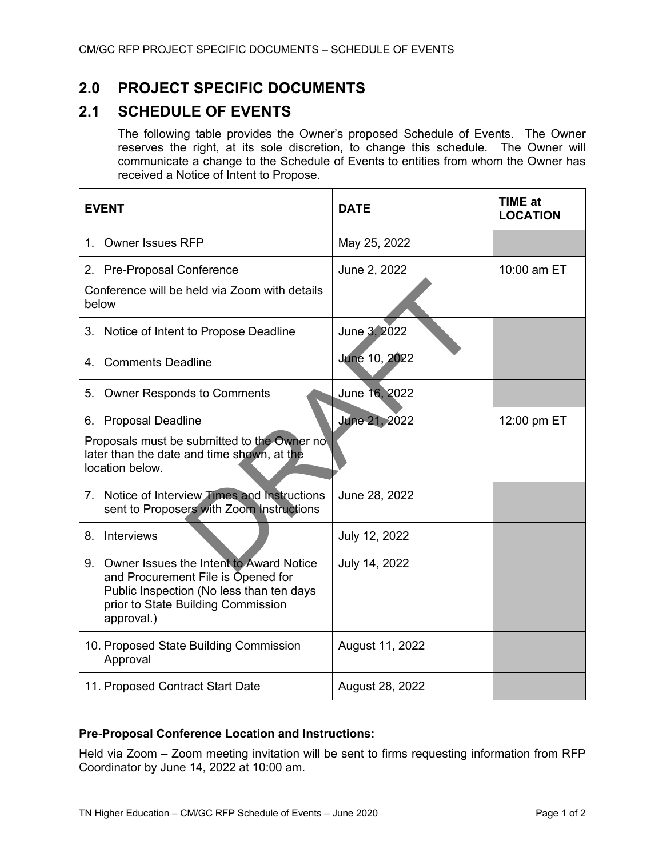## **2.0 PROJECT SPECIFIC DOCUMENTS**

## **2.1 SCHEDULE OF EVENTS**

The following table provides the Owner's proposed Schedule of Events. The Owner reserves the right, at its sole discretion, to change this schedule. The Owner will communicate a change to the Schedule of Events to entities from whom the Owner has received a Notice of Intent to Propose.

| <b>EVENT</b>                                                                                                                                                                     | <b>DATE</b>     | <b>TIME at</b><br><b>LOCATION</b> |
|----------------------------------------------------------------------------------------------------------------------------------------------------------------------------------|-----------------|-----------------------------------|
| 1. Owner Issues RFP                                                                                                                                                              | May 25, 2022    |                                   |
| 2. Pre-Proposal Conference<br>Conference will be held via Zoom with details<br>below                                                                                             | June 2, 2022    | 10:00 am ET                       |
| 3. Notice of Intent to Propose Deadline                                                                                                                                          | June 3, 2022    |                                   |
| 4. Comments Deadline                                                                                                                                                             | June 10, 2022   |                                   |
| <b>Owner Responds to Comments</b><br>5.                                                                                                                                          | June 16, 2022   |                                   |
| <b>Proposal Deadline</b><br>6.<br>Proposals must be submitted to the Owner no<br>later than the date and time shown, at the<br>location below.                                   | June 21, 2022   | 12:00 pm ET                       |
| 7. Notice of Interview Times and Instructions<br>sent to Proposers with Zoom Instructions                                                                                        | June 29, 2022   |                                   |
| 8. Interviews                                                                                                                                                                    | July 12, 2022   |                                   |
| 9. Owner Issues the Intent to Award Notice<br>and Procurement File is Opened for<br>Public Inspection (No less than ten days<br>prior to State Building Commission<br>approval.) | July 14, 2022   |                                   |
| 10. Proposed State Building Commission<br>Approval                                                                                                                               | August 11, 2022 |                                   |
| 11. Proposed Contract Start Date                                                                                                                                                 | August 28, 2022 |                                   |

### **Pre-Proposal Conference Location and Instructions:**

Held via Zoom – Zoom meeting invitation will be sent to firms requesting information from RFP Coordinator by June 14, 2022 at 10:00 am.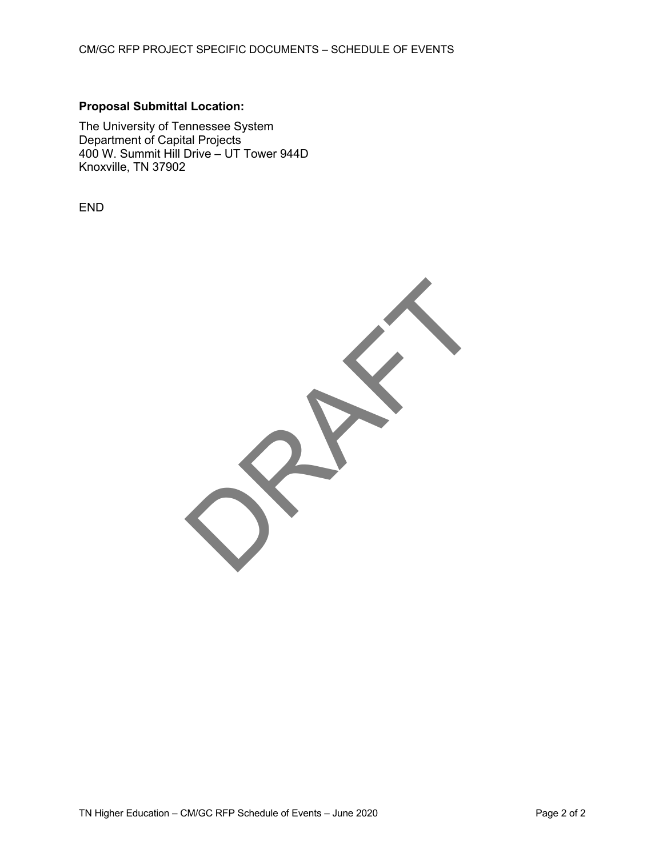### **Proposal Submittal Location:**

The University of Tennessee System Department of Capital Projects 400 W. Summit Hill Drive – UT Tower 944D Knoxville, TN 37902

END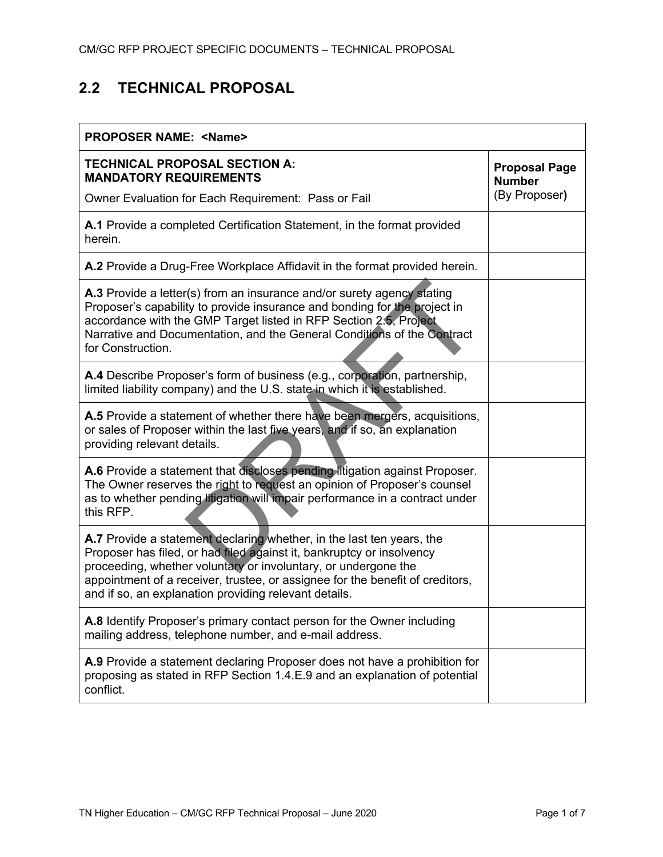## **2.2 TECHNICAL PROPOSAL**

| <b>PROPOSER NAME: <name></name></b>                                                                                                                                                                                                                                                                                                                        |                                       |  |  |
|------------------------------------------------------------------------------------------------------------------------------------------------------------------------------------------------------------------------------------------------------------------------------------------------------------------------------------------------------------|---------------------------------------|--|--|
| <b>TECHNICAL PROPOSAL SECTION A:</b><br><b>MANDATORY REQUIREMENTS</b>                                                                                                                                                                                                                                                                                      | <b>Proposal Page</b><br><b>Number</b> |  |  |
| Owner Evaluation for Each Requirement: Pass or Fail                                                                                                                                                                                                                                                                                                        | (By Proposer)                         |  |  |
| A.1 Provide a completed Certification Statement, in the format provided<br>herein.                                                                                                                                                                                                                                                                         |                                       |  |  |
| A.2 Provide a Drug-Free Workplace Affidavit in the format provided herein.                                                                                                                                                                                                                                                                                 |                                       |  |  |
| <b>A.3</b> Provide a letter(s) from an insurance and/or surety agency stating<br>Proposer's capability to provide insurance and bonding for the project in<br>accordance with the GMP Target listed in RFP Section 2.5, Project<br>Narrative and Documentation, and the General Conditions of the Contract<br>for Construction.                            |                                       |  |  |
| A.4 Describe Proposer's form of business (e.g., corporation, partnership,<br>limited liability company) and the U.S. state in which it is established.                                                                                                                                                                                                     |                                       |  |  |
| A.5 Provide a statement of whether there have been mergers, acquisitions,<br>or sales of Proposer within the last five years, and if so, an explanation<br>providing relevant details.                                                                                                                                                                     |                                       |  |  |
| A.6 Provide a statement that discloses pending litigation against Proposer.<br>The Owner reserves the right to request an opinion of Proposer's counsel<br>as to whether pending litigation will impair performance in a contract under<br>this RFP.                                                                                                       |                                       |  |  |
| A.7 Provide a statement declaring whether, in the last ten years, the<br>Proposer has filed, or had filed against it, bankruptcy or insolvency<br>proceeding, whether voluntary or involuntary, or undergone the<br>appointment of a receiver, trustee, or assignee for the benefit of creditors,<br>and if so, an explanation providing relevant details. |                                       |  |  |
| A.8 Identify Proposer's primary contact person for the Owner including<br>mailing address, telephone number, and e-mail address.                                                                                                                                                                                                                           |                                       |  |  |
| A.9 Provide a statement declaring Proposer does not have a prohibition for<br>proposing as stated in RFP Section 1.4.E.9 and an explanation of potential<br>conflict.                                                                                                                                                                                      |                                       |  |  |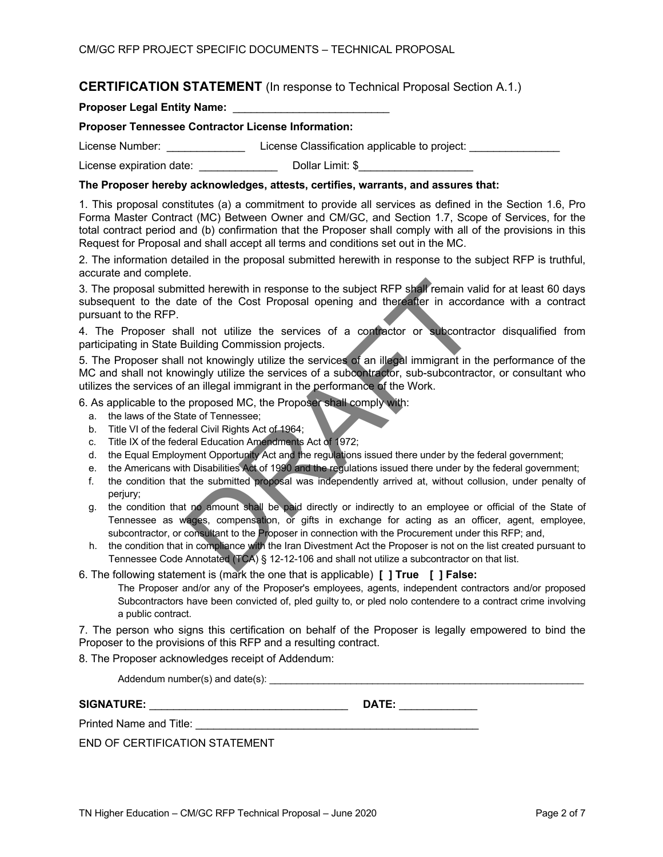### **CERTIFICATION STATEMENT** (In response to Technical Proposal Section A.1.)

**Proposer Legal Entity Name:** \_\_\_\_\_\_\_\_\_\_\_\_\_\_\_\_\_\_\_\_\_\_\_\_\_\_

### **Proposer Tennessee Contractor License Information:**

License Number: \_\_\_\_\_\_\_\_\_\_\_\_\_\_\_\_\_\_\_\_License Classification applicable to project: \_\_\_\_\_\_\_\_\_\_\_\_\_\_\_\_\_

License expiration date: \_\_\_\_\_\_\_\_\_\_\_\_\_\_\_\_\_\_\_\_\_\_Dollar Limit: \$

### **The Proposer hereby acknowledges, attests, certifies, warrants, and assures that:**

1. This proposal constitutes (a) a commitment to provide all services as defined in the Section 1.6, Pro Forma Master Contract (MC) Between Owner and CM/GC, and Section 1.7, Scope of Services, for the total contract period and (b) confirmation that the Proposer shall comply with all of the provisions in this Request for Proposal and shall accept all terms and conditions set out in the MC.

2. The information detailed in the proposal submitted herewith in response to the subject RFP is truthful, accurate and complete.

3. The proposal submitted herewith in response to the subject RFP shall remain valid for at least 60 days subsequent to the date of the Cost Proposal opening and thereafter in accordance with a contract pursuant to the RFP.

4. The Proposer shall not utilize the services of a contractor or subcontractor disqualified from participating in State Building Commission projects.

5. The Proposer shall not knowingly utilize the services of an illegal immigrant in the performance of the MC and shall not knowingly utilize the services of a subcontractor, sub-subcontractor, or consultant who utilizes the services of an illegal immigrant in the performance of the Work.

6. As applicable to the proposed MC, the Proposer shall comply with:

- a. the laws of the State of Tennessee;
- b. Title VI of the federal Civil Rights Act of 1964;
- c. Title IX of the federal Education Amendments Act of 1972;
- d. the Equal Employment Opportunity Act and the regulations issued there under by the federal government;
- e. the Americans with Disabilities Act of 1990 and the regulations issued there under by the federal government;
- f. the condition that the submitted proposal was independently arrived at, without collusion, under penalty of perjury;
- g. the condition that no amount shall be paid directly or indirectly to an employee or official of the State of Tennessee as wages, compensation, or gifts in exchange for acting as an officer, agent, employee, subcontractor, or consultant to the Proposer in connection with the Procurement under this RFP; and,
- h. the condition that in compliance with the Iran Divestment Act the Proposer is not on the list created pursuant to Tennessee Code Annotated (TCA) § 12-12-106 and shall not utilize a subcontractor on that list.

### 6. The following statement is (mark the one that is applicable) **[ ] True [ ] False:**

The Proposer and/or any of the Proposer's employees, agents, independent contractors and/or proposed Subcontractors have been convicted of, pled guilty to, or pled nolo contendere to a contract crime involving a public contract.

7. The person who signs this certification on behalf of the Proposer is legally empowered to bind the Proposer to the provisions of this RFP and a resulting contract.

8. The Proposer acknowledges receipt of Addendum:

Addendum number(s) and date(s): \_\_\_\_\_\_\_\_\_\_\_\_\_\_\_\_\_\_\_\_\_\_\_\_\_\_\_\_\_\_\_\_\_\_\_\_\_\_\_\_\_\_\_\_\_\_\_\_\_\_\_\_\_\_\_\_\_\_

| <b>SIGNATURE:</b> | DATE<br>91 E. |  |
|-------------------|---------------|--|
|                   |               |  |

Printed Name and Title:

END OF CERTIFICATION STATEMENT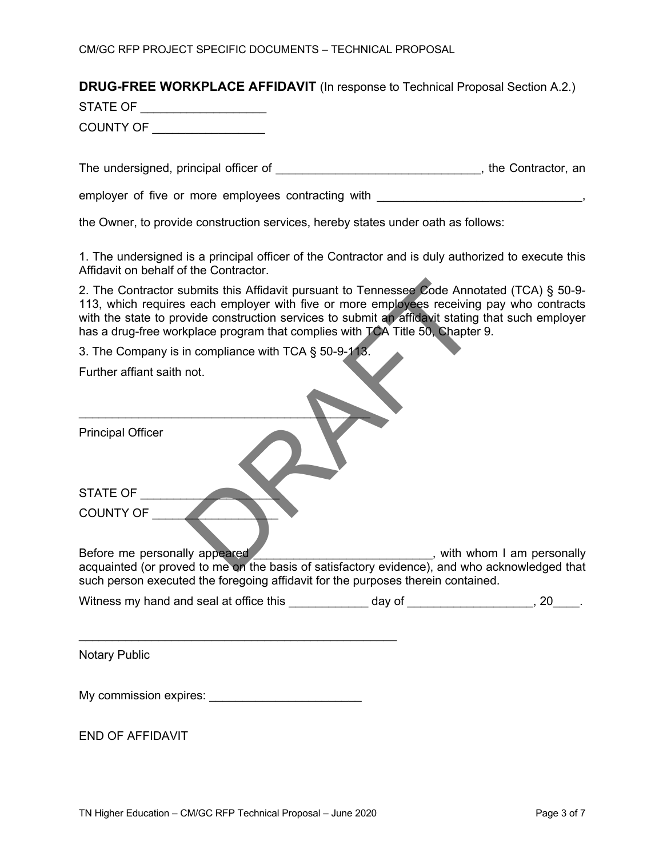### **DRUG-FREE WORKPLACE AFFIDAVIT** (In response to Technical Proposal Section A.2.)

STATE OF **Example 20** 

COUNTY OF \_\_\_\_\_\_\_\_\_\_\_\_\_\_\_\_\_

The undersigned, principal officer of  $\blacksquare$  , the Contractor, an

employer of five or more employees contracting with \_\_\_\_\_\_\_\_\_\_\_\_\_\_\_\_\_\_\_\_\_\_\_\_\_\_\_\_,

the Owner, to provide construction services, hereby states under oath as follows:

1. The undersigned is a principal officer of the Contractor and is duly authorized to execute this Affidavit on behalf of the Contractor.

2. The Contractor submits this Affidavit pursuant to Tennessee Code Annotated (TCA) § 50-9- 113, which requires each employer with five or more employees receiving pay who contracts with the state to provide construction services to submit an affidavit stating that such employer has a drug-free workplace program that complies with TCA Title 50, Chapter 9.

3. The Company is in compliance with TCA § 50-9-113.

 $\overline{\phantom{a}}$  , which is a set of the set of the set of the set of the set of the set of the set of the set of the set of the set of the set of the set of the set of the set of the set of the set of the set of the set of th

Further affiant saith not.

Principal Officer

| STATE OF         |  |
|------------------|--|
| <b>COUNTY OF</b> |  |

Before me personally appeared \_\_\_\_\_\_\_\_\_\_\_\_\_\_\_\_\_\_\_\_\_\_\_\_\_\_\_\_\_, with whom I am personally acquainted (or proved to me on the basis of satisfactory evidence), and who acknowledged that such person executed the foregoing affidavit for the purposes therein contained.

| Witness my hand and seal at office this | dav of |  |
|-----------------------------------------|--------|--|
|-----------------------------------------|--------|--|

Notary Public

| My commission expires: |  |
|------------------------|--|
|------------------------|--|

END OF AFFIDAVIT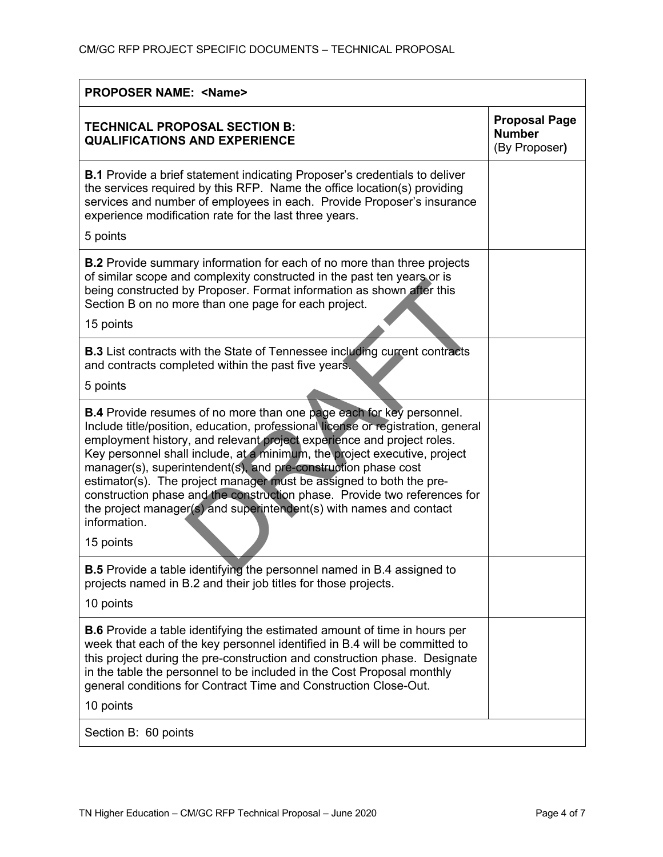| <b>PROPOSER NAME: <name></name></b>                                                                                                                                                                                                                                                                                                                                                                                                                                                                                                                                                                                                 |                                                        |  |  |
|-------------------------------------------------------------------------------------------------------------------------------------------------------------------------------------------------------------------------------------------------------------------------------------------------------------------------------------------------------------------------------------------------------------------------------------------------------------------------------------------------------------------------------------------------------------------------------------------------------------------------------------|--------------------------------------------------------|--|--|
| <b>TECHNICAL PROPOSAL SECTION B:</b><br><b>QUALIFICATIONS AND EXPERIENCE</b>                                                                                                                                                                                                                                                                                                                                                                                                                                                                                                                                                        | <b>Proposal Page</b><br><b>Number</b><br>(By Proposer) |  |  |
| B.1 Provide a brief statement indicating Proposer's credentials to deliver<br>the services required by this RFP. Name the office location(s) providing<br>services and number of employees in each. Provide Proposer's insurance<br>experience modification rate for the last three years.<br>5 points                                                                                                                                                                                                                                                                                                                              |                                                        |  |  |
| <b>B.2</b> Provide summary information for each of no more than three projects<br>of similar scope and complexity constructed in the past ten years or is<br>being constructed by Proposer. Format information as shown after this<br>Section B on no more than one page for each project.<br>15 points                                                                                                                                                                                                                                                                                                                             |                                                        |  |  |
| <b>B.3</b> List contracts with the State of Tennessee including current contracts<br>and contracts completed within the past five years.                                                                                                                                                                                                                                                                                                                                                                                                                                                                                            |                                                        |  |  |
| 5 points                                                                                                                                                                                                                                                                                                                                                                                                                                                                                                                                                                                                                            |                                                        |  |  |
| <b>B.4</b> Provide resumes of no more than one page each for key personnel.<br>Include title/position, education, professional license or registration, general<br>employment history, and relevant project experience and project roles.<br>Key personnel shall include, at a minimum, the project executive, project<br>manager(s), superintendent(s), and pre-construction phase cost<br>estimator(s). The project manager must be assigned to both the pre-<br>construction phase and the construction phase. Provide two references for<br>the project manager(s) and superintendent(s) with names and contact<br>information. |                                                        |  |  |
| 15 points                                                                                                                                                                                                                                                                                                                                                                                                                                                                                                                                                                                                                           |                                                        |  |  |
| <b>B.5</b> Provide a table identifying the personnel named in B.4 assigned to<br>projects named in B.2 and their job titles for those projects.<br>10 points                                                                                                                                                                                                                                                                                                                                                                                                                                                                        |                                                        |  |  |
|                                                                                                                                                                                                                                                                                                                                                                                                                                                                                                                                                                                                                                     |                                                        |  |  |
| <b>B.6</b> Provide a table identifying the estimated amount of time in hours per<br>week that each of the key personnel identified in B.4 will be committed to<br>this project during the pre-construction and construction phase. Designate<br>in the table the personnel to be included in the Cost Proposal monthly<br>general conditions for Contract Time and Construction Close-Out.<br>10 points                                                                                                                                                                                                                             |                                                        |  |  |
| Section B: 60 points                                                                                                                                                                                                                                                                                                                                                                                                                                                                                                                                                                                                                |                                                        |  |  |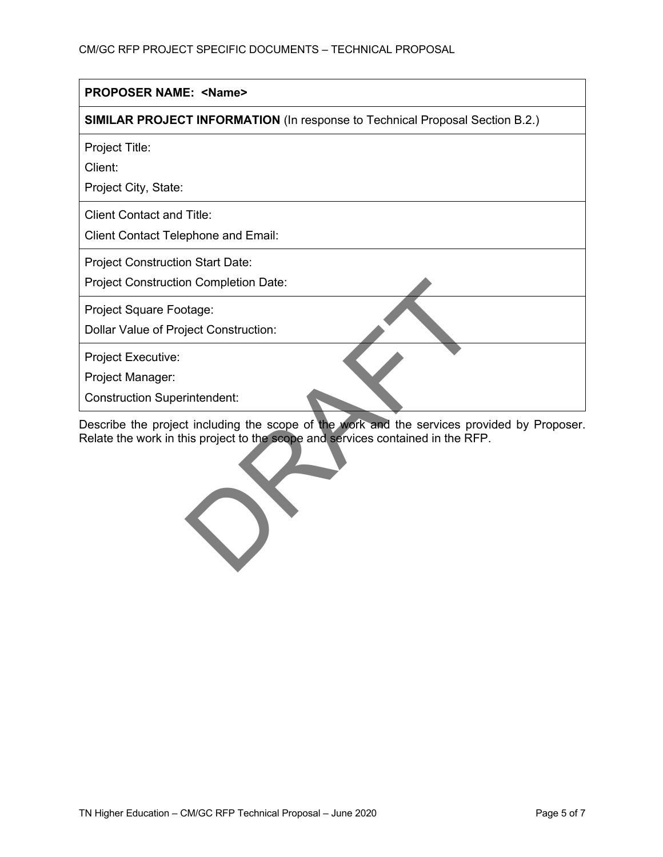| <b>PROPOSER NAME: <name></name></b>                                                     |
|-----------------------------------------------------------------------------------------|
| <b>SIMILAR PROJECT INFORMATION (In response to Technical Proposal Section B.2.)</b>     |
| Project Title:<br>Client:                                                               |
| Project City, State:                                                                    |
| <b>Client Contact and Title:</b><br><b>Client Contact Telephone and Email:</b>          |
| <b>Project Construction Start Date:</b><br><b>Project Construction Completion Date:</b> |
| Project Square Footage:<br>Dollar Value of Project Construction:                        |
| Project Executive:<br>Project Manager:                                                  |
| <b>Construction Superintendent:</b>                                                     |

Describe the project including the scope of the work and the services provided by Proposer. Relate the work in this project to the scope and services contained in the RFP.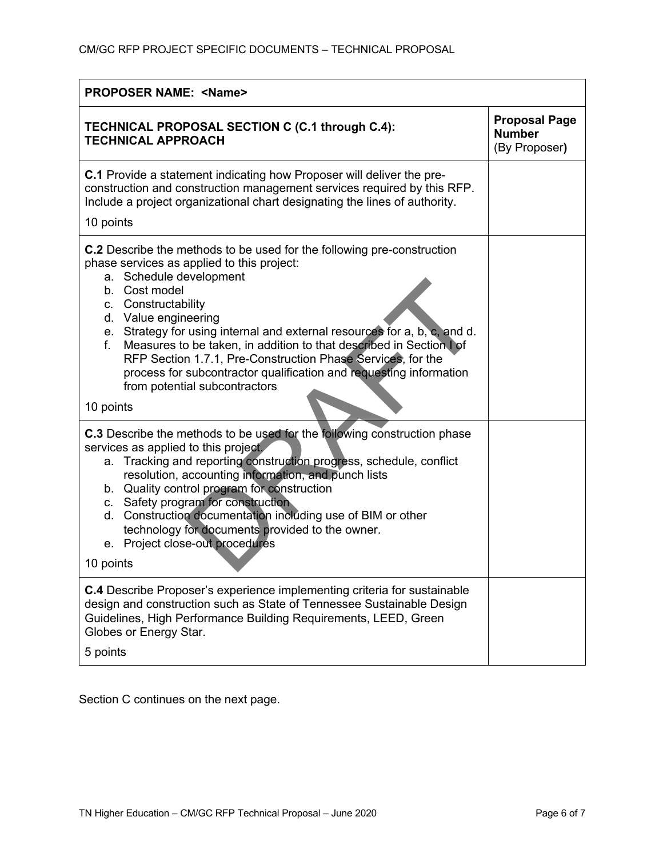| <b>PROPOSER NAME: <name></name></b>                                                                                                                                                                                                                                                                                                                                                                                                                                                                                                                    |                                                        |  |  |
|--------------------------------------------------------------------------------------------------------------------------------------------------------------------------------------------------------------------------------------------------------------------------------------------------------------------------------------------------------------------------------------------------------------------------------------------------------------------------------------------------------------------------------------------------------|--------------------------------------------------------|--|--|
| TECHNICAL PROPOSAL SECTION C (C.1 through C.4):<br><b>TECHNICAL APPROACH</b>                                                                                                                                                                                                                                                                                                                                                                                                                                                                           | <b>Proposal Page</b><br><b>Number</b><br>(By Proposer) |  |  |
| <b>C.1</b> Provide a statement indicating how Proposer will deliver the pre-<br>construction and construction management services required by this RFP.<br>Include a project organizational chart designating the lines of authority.<br>10 points                                                                                                                                                                                                                                                                                                     |                                                        |  |  |
| <b>C.2</b> Describe the methods to be used for the following pre-construction<br>phase services as applied to this project:<br>a. Schedule development<br>b. Cost model<br>c. Constructability<br>d. Value engineering<br>e. Strategy for using internal and external resources for a, b, c, and d.<br>Measures to be taken, in addition to that described in Section I of<br>f.<br>RFP Section 1.7.1, Pre-Construction Phase Services, for the<br>process for subcontractor qualification and requesting information<br>from potential subcontractors |                                                        |  |  |
| 10 points                                                                                                                                                                                                                                                                                                                                                                                                                                                                                                                                              |                                                        |  |  |
| <b>C.3</b> Describe the methods to be used for the following construction phase<br>services as applied to this project.<br>Tracking and reporting construction progress, schedule, conflict<br>а.<br>resolution, accounting information, and punch lists<br>b. Quality control program for construction<br>c. Safety program for construction<br>d. Construction documentation including use of BIM or other<br>technology for documents provided to the owner.<br>e. Project close-out procedures<br>10 points                                        |                                                        |  |  |
|                                                                                                                                                                                                                                                                                                                                                                                                                                                                                                                                                        |                                                        |  |  |
| <b>C.4</b> Describe Proposer's experience implementing criteria for sustainable<br>design and construction such as State of Tennessee Sustainable Design<br>Guidelines, High Performance Building Requirements, LEED, Green<br>Globes or Energy Star.<br>5 points                                                                                                                                                                                                                                                                                      |                                                        |  |  |

Section C continues on the next page.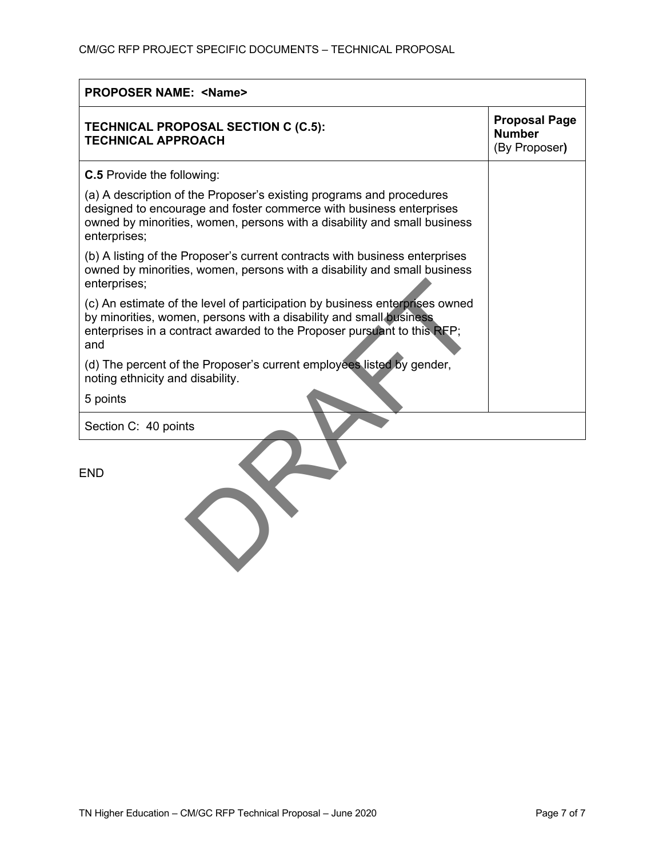| <b>PROPOSER NAME: <name></name></b>                                                                                                                                                                                                     |                                                        |  |  |  |
|-----------------------------------------------------------------------------------------------------------------------------------------------------------------------------------------------------------------------------------------|--------------------------------------------------------|--|--|--|
| <b>TECHNICAL PROPOSAL SECTION C (C.5):</b><br><b>TECHNICAL APPROACH</b>                                                                                                                                                                 | <b>Proposal Page</b><br><b>Number</b><br>(By Proposer) |  |  |  |
| <b>C.5</b> Provide the following:                                                                                                                                                                                                       |                                                        |  |  |  |
| (a) A description of the Proposer's existing programs and procedures<br>designed to encourage and foster commerce with business enterprises<br>owned by minorities, women, persons with a disability and small business<br>enterprises; |                                                        |  |  |  |
| (b) A listing of the Proposer's current contracts with business enterprises<br>owned by minorities, women, persons with a disability and small business<br>enterprises;                                                                 |                                                        |  |  |  |
| (c) An estimate of the level of participation by business enterprises owned<br>by minorities, women, persons with a disability and small business<br>enterprises in a contract awarded to the Proposer pursuant to this RFP;<br>and     |                                                        |  |  |  |
| (d) The percent of the Proposer's current employees listed by gender,<br>noting ethnicity and disability.                                                                                                                               |                                                        |  |  |  |
| 5 points                                                                                                                                                                                                                                |                                                        |  |  |  |
| Section C: 40 points                                                                                                                                                                                                                    |                                                        |  |  |  |

END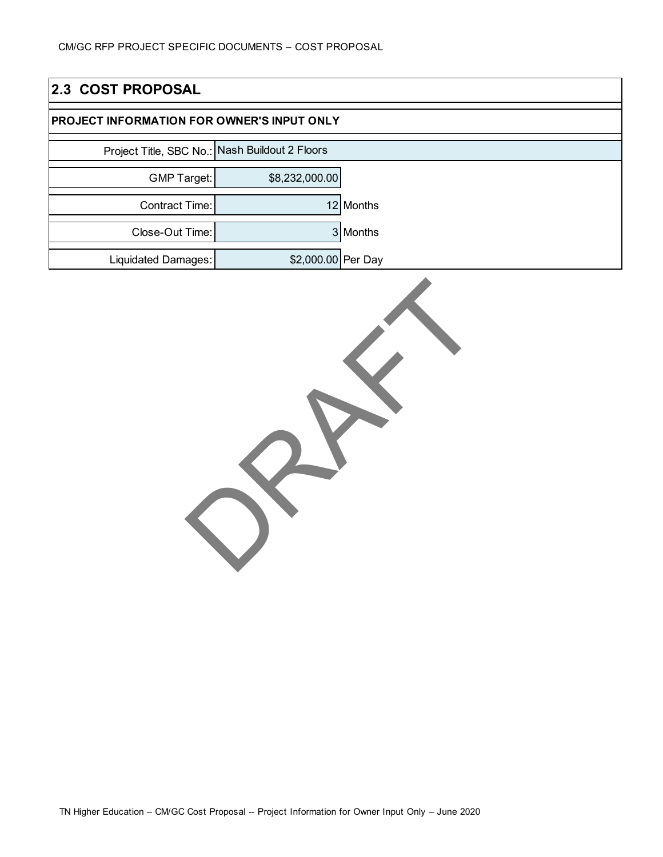| 2.3 COST PROPOSAL                                 |                    |           |  |
|---------------------------------------------------|--------------------|-----------|--|
| <b>PROJECT INFORMATION FOR OWNER'S INPUT ONLY</b> |                    |           |  |
| Project Title, SBC No.: Nash Buildout 2 Floors    |                    |           |  |
| <b>GMP Target:</b>                                | \$8,232,000.00     |           |  |
| Contract Time:                                    |                    | 12 Months |  |
| Close-Out Time:                                   |                    | 3 Months  |  |
| Liquidated Damages:                               | \$2,000.00 Per Day |           |  |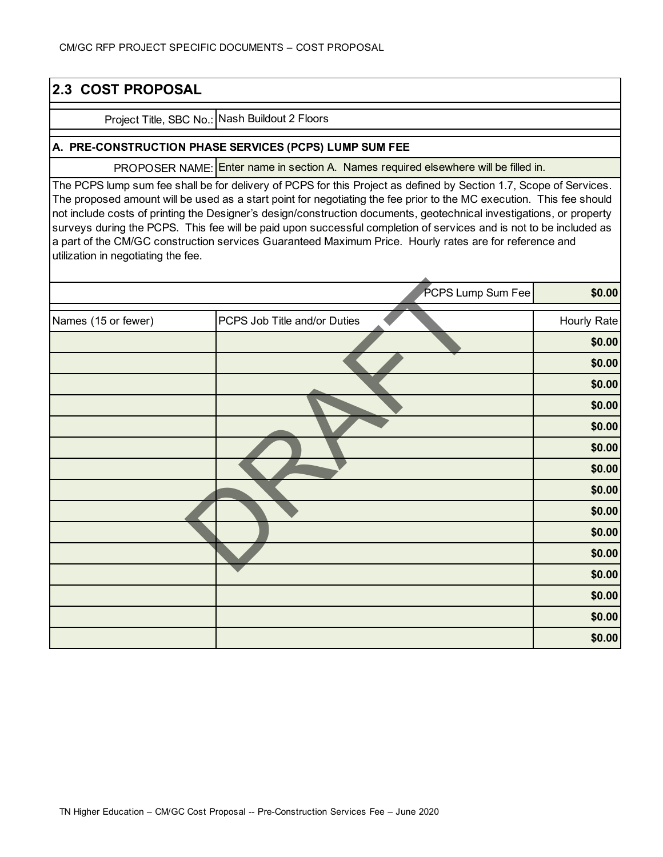| 2.3 COST PROPOSAL                   |                                                                                                                                                                                                                                                                                                                                                                                                                                                                                                                                                                                                    |             |
|-------------------------------------|----------------------------------------------------------------------------------------------------------------------------------------------------------------------------------------------------------------------------------------------------------------------------------------------------------------------------------------------------------------------------------------------------------------------------------------------------------------------------------------------------------------------------------------------------------------------------------------------------|-------------|
|                                     | Project Title, SBC No.: Nash Buildout 2 Floors                                                                                                                                                                                                                                                                                                                                                                                                                                                                                                                                                     |             |
|                                     | A. PRE-CONSTRUCTION PHASE SERVICES (PCPS) LUMP SUM FEE                                                                                                                                                                                                                                                                                                                                                                                                                                                                                                                                             |             |
|                                     | PROPOSER NAME: Enter name in section A. Names required elsewhere will be filled in.                                                                                                                                                                                                                                                                                                                                                                                                                                                                                                                |             |
| utilization in negotiating the fee. | The PCPS lump sum fee shall be for delivery of PCPS for this Project as defined by Section 1.7, Scope of Services.<br>The proposed amount will be used as a start point for negotiating the fee prior to the MC execution. This fee should<br>not include costs of printing the Designer's design/construction documents, geotechnical investigations, or property<br>surveys during the PCPS. This fee will be paid upon successful completion of services and is not to be included as<br>a part of the CM/GC construction services Guaranteed Maximum Price. Hourly rates are for reference and |             |
|                                     | PCPS Lump Sum Fee                                                                                                                                                                                                                                                                                                                                                                                                                                                                                                                                                                                  | \$0.00      |
| Names (15 or fewer)                 | PCPS Job Title and/or Duties                                                                                                                                                                                                                                                                                                                                                                                                                                                                                                                                                                       | Hourly Rate |
|                                     |                                                                                                                                                                                                                                                                                                                                                                                                                                                                                                                                                                                                    | \$0.00      |
|                                     |                                                                                                                                                                                                                                                                                                                                                                                                                                                                                                                                                                                                    | \$0.00      |
|                                     |                                                                                                                                                                                                                                                                                                                                                                                                                                                                                                                                                                                                    | \$0.00      |
|                                     |                                                                                                                                                                                                                                                                                                                                                                                                                                                                                                                                                                                                    | \$0.00      |
|                                     |                                                                                                                                                                                                                                                                                                                                                                                                                                                                                                                                                                                                    | \$0.00      |
|                                     |                                                                                                                                                                                                                                                                                                                                                                                                                                                                                                                                                                                                    | \$0.00      |
|                                     |                                                                                                                                                                                                                                                                                                                                                                                                                                                                                                                                                                                                    | \$0.00      |
|                                     |                                                                                                                                                                                                                                                                                                                                                                                                                                                                                                                                                                                                    | \$0.00      |
|                                     |                                                                                                                                                                                                                                                                                                                                                                                                                                                                                                                                                                                                    | \$0.00      |
|                                     |                                                                                                                                                                                                                                                                                                                                                                                                                                                                                                                                                                                                    | \$0.00      |
|                                     |                                                                                                                                                                                                                                                                                                                                                                                                                                                                                                                                                                                                    | \$0.00      |
|                                     |                                                                                                                                                                                                                                                                                                                                                                                                                                                                                                                                                                                                    | \$0.00      |
|                                     |                                                                                                                                                                                                                                                                                                                                                                                                                                                                                                                                                                                                    | \$0.00      |
|                                     |                                                                                                                                                                                                                                                                                                                                                                                                                                                                                                                                                                                                    | \$0.00      |
|                                     |                                                                                                                                                                                                                                                                                                                                                                                                                                                                                                                                                                                                    | \$0.00      |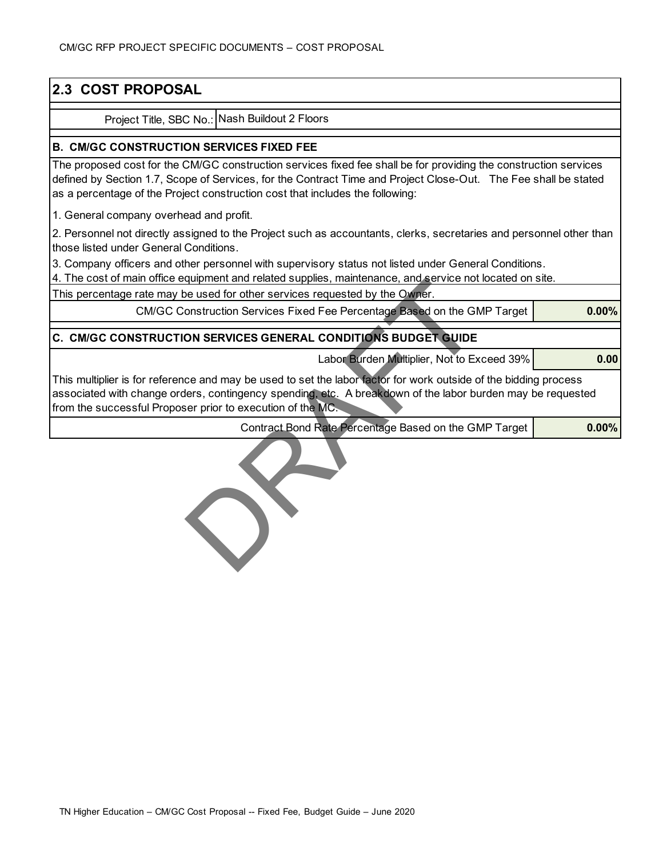## **2.3 COST PROPOSAL**

Project Title, SBC No.: Nash Buildout 2 Floors

#### l **B. CM/GC CONSTRUCTION SERVICES FIXED FEE**

The proposed cost for the CM/GC construction services fixed fee shall be for providing the construction services defined by Section 1.7, Scope of Services, for the Contract Time and Project Close-Out. The Fee shall be stated as a percentage of the Project construction cost that includes the following:

1. General company overhead and profit.

2. Personnel not directly assigned to the Project such as accountants, clerks, secretaries and personnel other than those listed under General Conditions.

3. Company officers and other personnel with supervisory status not listed under General Conditions.

4. The cost of main office equipment and related supplies, maintenance, and service not located on site.

This percentage rate may be used for other services requested by the Owner.

CM/GC Construction Services Fixed Fee Percentage Based on the GMP Target

#### j **C. CM/GC CONSTRUCTION SERVICES GENERAL CONDITIONS BUDGET GUIDE**

Labor Burden Multiplier, Not to Exceed 39%

**0.00**

**0.00%**

**0.00%**

This multiplier is for reference and may be used to set the labor factor for work outside of the bidding process associated with change orders, contingency spending, etc. A breakdown of the labor burden may be requested from the successful Proposer prior to execution of the MC.

Contract Bond Rate Percentage Based on the GMP Target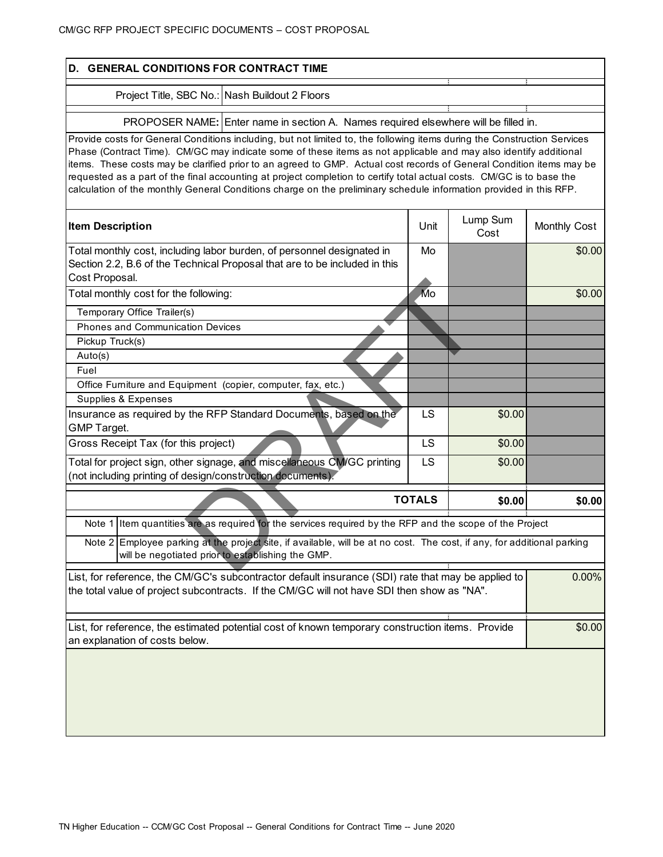| D. GENERAL CONDITIONS FOR CONTRACT TIME                                                                                                                                                                                                                                                                                                                                                                                                                                                                                                                                                                             |      |                  |              |
|---------------------------------------------------------------------------------------------------------------------------------------------------------------------------------------------------------------------------------------------------------------------------------------------------------------------------------------------------------------------------------------------------------------------------------------------------------------------------------------------------------------------------------------------------------------------------------------------------------------------|------|------------------|--------------|
| Project Title, SBC No.: Nash Buildout 2 Floors                                                                                                                                                                                                                                                                                                                                                                                                                                                                                                                                                                      |      |                  |              |
| PROPOSER NAME: Enter name in section A. Names required elsewhere will be filled in.                                                                                                                                                                                                                                                                                                                                                                                                                                                                                                                                 |      |                  |              |
| Provide costs for General Conditions including, but not limited to, the following items during the Construction Services<br>Phase (Contract Time). CM/GC may indicate some of these items as not applicable and may also identify additional<br>items. These costs may be clarified prior to an agreed to GMP. Actual cost records of General Condition items may be<br>requested as a part of the final accounting at project completion to certify total actual costs. CM/GC is to base the<br>calculation of the monthly General Conditions charge on the preliminary schedule information provided in this RFP. |      |                  |              |
| <b>Item Description</b>                                                                                                                                                                                                                                                                                                                                                                                                                                                                                                                                                                                             | Unit | Lump Sum<br>Cost | Monthly Cost |
| Total monthly cost, including labor burden, of personnel designated in<br>Section 2.2, B.6 of the Technical Proposal that are to be included in this<br>Cost Proposal.                                                                                                                                                                                                                                                                                                                                                                                                                                              | Mo   |                  | \$0.00       |
| Total monthly cost for the following:                                                                                                                                                                                                                                                                                                                                                                                                                                                                                                                                                                               | Mo   |                  | \$0.00       |
| Temporary Office Trailer(s)                                                                                                                                                                                                                                                                                                                                                                                                                                                                                                                                                                                         |      |                  |              |
| <b>Phones and Communication Devices</b>                                                                                                                                                                                                                                                                                                                                                                                                                                                                                                                                                                             |      |                  |              |
| Pickup Truck(s)<br>Auto(s)                                                                                                                                                                                                                                                                                                                                                                                                                                                                                                                                                                                          |      |                  |              |
| Fuel                                                                                                                                                                                                                                                                                                                                                                                                                                                                                                                                                                                                                |      |                  |              |
| Office Furniture and Equipment (copier, computer, fax, etc.)                                                                                                                                                                                                                                                                                                                                                                                                                                                                                                                                                        |      |                  |              |
| Supplies & Expenses                                                                                                                                                                                                                                                                                                                                                                                                                                                                                                                                                                                                 |      |                  |              |
| Insurance as required by the RFP Standard Documents, based on the<br>GMP Target.                                                                                                                                                                                                                                                                                                                                                                                                                                                                                                                                    | LS   | \$0.00           |              |
| Gross Receipt Tax (for this project)                                                                                                                                                                                                                                                                                                                                                                                                                                                                                                                                                                                | LS   | \$0.00           |              |
| Total for project sign, other signage, and miscellaneous CM/GC printing<br>(not including printing of design/construction documents).                                                                                                                                                                                                                                                                                                                                                                                                                                                                               | LS   | \$0.00           |              |
| <b>TOTALS</b><br>\$0.00                                                                                                                                                                                                                                                                                                                                                                                                                                                                                                                                                                                             |      |                  | \$0.00       |
| Note 1 Item quantities are as required for the services required by the RFP and the scope of the Project                                                                                                                                                                                                                                                                                                                                                                                                                                                                                                            |      |                  |              |
| Note 2 Employee parking at the project site, if available, will be at no cost. The cost, if any, for additional parking<br>will be negotiated prior to establishing the GMP.                                                                                                                                                                                                                                                                                                                                                                                                                                        |      |                  |              |
| List, for reference, the CM/GC's subcontractor default insurance (SDI) rate that may be applied to<br>the total value of project subcontracts. If the CM/GC will not have SDI then show as "NA".                                                                                                                                                                                                                                                                                                                                                                                                                    |      |                  | 0.00%        |
| List, for reference, the estimated potential cost of known temporary construction items. Provide<br>an explanation of costs below.                                                                                                                                                                                                                                                                                                                                                                                                                                                                                  |      |                  | \$0.00       |
|                                                                                                                                                                                                                                                                                                                                                                                                                                                                                                                                                                                                                     |      |                  |              |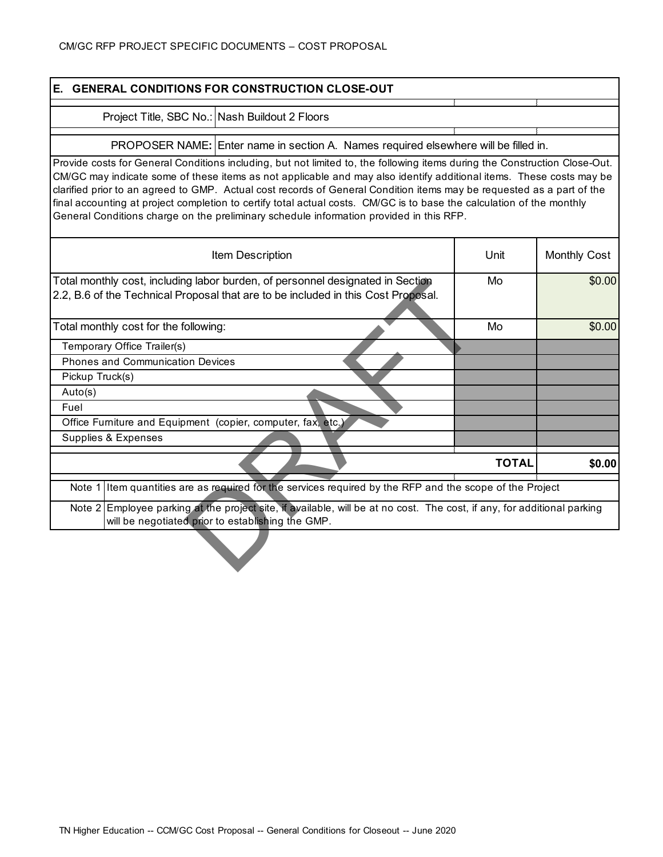| E. GENERAL CONDITIONS FOR CONSTRUCTION CLOSE-OUT                                                                                                                                                                                                                                                                                                                                                                                                                                                                                                                                               |              |              |  |  |
|------------------------------------------------------------------------------------------------------------------------------------------------------------------------------------------------------------------------------------------------------------------------------------------------------------------------------------------------------------------------------------------------------------------------------------------------------------------------------------------------------------------------------------------------------------------------------------------------|--------------|--------------|--|--|
| Project Title, SBC No.: Nash Buildout 2 Floors                                                                                                                                                                                                                                                                                                                                                                                                                                                                                                                                                 |              |              |  |  |
|                                                                                                                                                                                                                                                                                                                                                                                                                                                                                                                                                                                                |              |              |  |  |
| PROPOSER NAME: Enter name in section A. Names required elsewhere will be filled in.                                                                                                                                                                                                                                                                                                                                                                                                                                                                                                            |              |              |  |  |
| Provide costs for General Conditions including, but not limited to, the following items during the Construction Close-Out.<br>CM/GC may indicate some of these items as not applicable and may also identify additional items. These costs may be<br>clarified prior to an agreed to GMP. Actual cost records of General Condition items may be requested as a part of the<br>final accounting at project completion to certify total actual costs. CM/GC is to base the calculation of the monthly<br>General Conditions charge on the preliminary schedule information provided in this RFP. |              |              |  |  |
| Item Description                                                                                                                                                                                                                                                                                                                                                                                                                                                                                                                                                                               | Unit         | Monthly Cost |  |  |
| Total monthly cost, including labor burden, of personnel designated in Section<br>2.2, B.6 of the Technical Proposal that are to be included in this Cost Proposal.                                                                                                                                                                                                                                                                                                                                                                                                                            | Mo           | \$0.00       |  |  |
| Total monthly cost for the following:<br>Mo                                                                                                                                                                                                                                                                                                                                                                                                                                                                                                                                                    |              |              |  |  |
| Temporary Office Trailer(s)                                                                                                                                                                                                                                                                                                                                                                                                                                                                                                                                                                    |              |              |  |  |
| <b>Phones and Communication Devices</b>                                                                                                                                                                                                                                                                                                                                                                                                                                                                                                                                                        |              |              |  |  |
| Pickup Truck(s)                                                                                                                                                                                                                                                                                                                                                                                                                                                                                                                                                                                |              |              |  |  |
| Auto(s)                                                                                                                                                                                                                                                                                                                                                                                                                                                                                                                                                                                        |              |              |  |  |
| Fuel                                                                                                                                                                                                                                                                                                                                                                                                                                                                                                                                                                                           |              |              |  |  |
| Office Furniture and Equipment (copier, computer, fax, etc.)                                                                                                                                                                                                                                                                                                                                                                                                                                                                                                                                   |              |              |  |  |
| Supplies & Expenses                                                                                                                                                                                                                                                                                                                                                                                                                                                                                                                                                                            |              |              |  |  |
|                                                                                                                                                                                                                                                                                                                                                                                                                                                                                                                                                                                                | <b>TOTAL</b> | \$0.00       |  |  |
| Note 1 I Item quantities are as required for the services required by the RFP and the scope of the Project                                                                                                                                                                                                                                                                                                                                                                                                                                                                                     |              |              |  |  |
| Note 2 Employee parking at the project site, if available, will be at no cost. The cost, if any, for additional parking<br>will be negotiated prior to establishing the GMP.                                                                                                                                                                                                                                                                                                                                                                                                                   |              |              |  |  |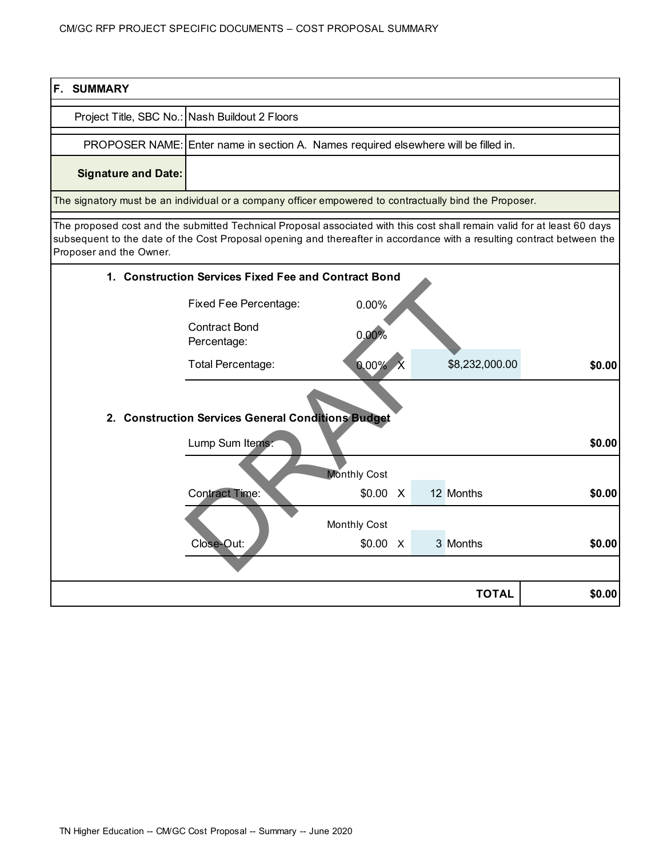| <b>F. SUMMARY</b>                                                                                                                                                                                                                                                             |                                                                                     |                |  |  |                |        |
|-------------------------------------------------------------------------------------------------------------------------------------------------------------------------------------------------------------------------------------------------------------------------------|-------------------------------------------------------------------------------------|----------------|--|--|----------------|--------|
|                                                                                                                                                                                                                                                                               | Project Title, SBC No.: Nash Buildout 2 Floors                                      |                |  |  |                |        |
|                                                                                                                                                                                                                                                                               | PROPOSER NAME: Enter name in section A. Names required elsewhere will be filled in. |                |  |  |                |        |
| <b>Signature and Date:</b>                                                                                                                                                                                                                                                    |                                                                                     |                |  |  |                |        |
| The signatory must be an individual or a company officer empowered to contractually bind the Proposer.                                                                                                                                                                        |                                                                                     |                |  |  |                |        |
| The proposed cost and the submitted Technical Proposal associated with this cost shall remain valid for at least 60 days<br>subsequent to the date of the Cost Proposal opening and thereafter in accordance with a resulting contract between the<br>Proposer and the Owner. | 1. Construction Services Fixed Fee and Contract Bond                                |                |  |  |                |        |
|                                                                                                                                                                                                                                                                               |                                                                                     |                |  |  |                |        |
|                                                                                                                                                                                                                                                                               | <b>Fixed Fee Percentage:</b>                                                        | 0.00%          |  |  |                |        |
|                                                                                                                                                                                                                                                                               | <b>Contract Bond</b><br>Percentage:                                                 | 0.00%          |  |  |                |        |
|                                                                                                                                                                                                                                                                               | <b>Total Percentage:</b>                                                            | $0.00\%$ X     |  |  | \$8,232,000.00 | \$0.00 |
|                                                                                                                                                                                                                                                                               | 2. Construction Services General Conditions Budget<br>Lump Sum Items:               |                |  |  |                | \$0.00 |
|                                                                                                                                                                                                                                                                               |                                                                                     | Monthly Cost   |  |  |                |        |
|                                                                                                                                                                                                                                                                               | <b>Contract Time:</b>                                                               | \$0.00 X       |  |  | 12 Months      | \$0.00 |
|                                                                                                                                                                                                                                                                               |                                                                                     | Monthly Cost   |  |  |                |        |
|                                                                                                                                                                                                                                                                               | Close-Out:                                                                          | $$0.00 \times$ |  |  | 3 Months       | \$0.00 |
|                                                                                                                                                                                                                                                                               |                                                                                     |                |  |  |                |        |
|                                                                                                                                                                                                                                                                               |                                                                                     |                |  |  | <b>TOTAL</b>   | \$0.00 |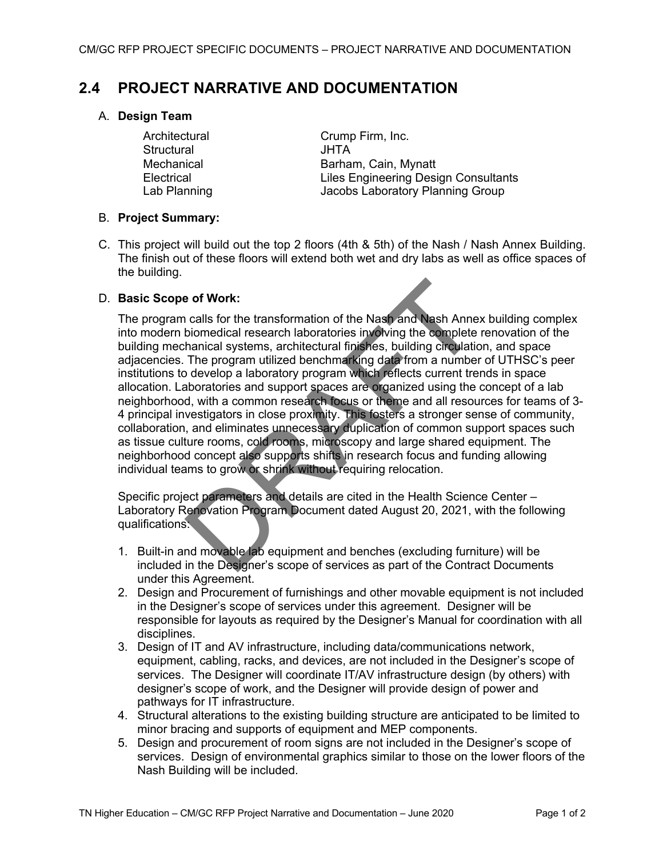## **2.4 PROJECT NARRATIVE AND DOCUMENTATION**

### A. **Design Team**

Structural JHTA

Architectural Crump Firm, Inc. Mechanical **Barham, Cain, Mynatt** Electrical Liles Engineering Design Consultants Lab Planning **Internal Studies Charlotter Studies Laboratory Planning Group** 

### B. **Project Summary:**

C. This project will build out the top 2 floors (4th & 5th) of the Nash / Nash Annex Building. The finish out of these floors will extend both wet and dry labs as well as office spaces of the building.

### D. **Basic Scope of Work:**

The program calls for the transformation of the Nash and Nash Annex building complex into modern biomedical research laboratories involving the complete renovation of the building mechanical systems, architectural finishes, building circulation, and space adjacencies. The program utilized benchmarking data from a number of UTHSC's peer institutions to develop a laboratory program which reflects current trends in space allocation. Laboratories and support spaces are organized using the concept of a lab neighborhood, with a common research focus or theme and all resources for teams of 3- 4 principal investigators in close proximity. This fosters a stronger sense of community, collaboration, and eliminates unnecessary duplication of common support spaces such as tissue culture rooms, cold rooms, microscopy and large shared equipment. The neighborhood concept also supports shifts in research focus and funding allowing individual teams to grow or shrink without requiring relocation.

Specific project parameters and details are cited in the Health Science Center – Laboratory Renovation Program Document dated August 20, 2021, with the following qualifications:

- 1. Built-in and movable lab equipment and benches (excluding furniture) will be included in the Designer's scope of services as part of the Contract Documents under this Agreement.
- 2. Design and Procurement of furnishings and other movable equipment is not included in the Designer's scope of services under this agreement. Designer will be responsible for layouts as required by the Designer's Manual for coordination with all disciplines.
- 3. Design of IT and AV infrastructure, including data/communications network, equipment, cabling, racks, and devices, are not included in the Designer's scope of services. The Designer will coordinate IT/AV infrastructure design (by others) with designer's scope of work, and the Designer will provide design of power and pathways for IT infrastructure.
- 4. Structural alterations to the existing building structure are anticipated to be limited to minor bracing and supports of equipment and MEP components.
- 5. Design and procurement of room signs are not included in the Designer's scope of services. Design of environmental graphics similar to those on the lower floors of the Nash Building will be included.